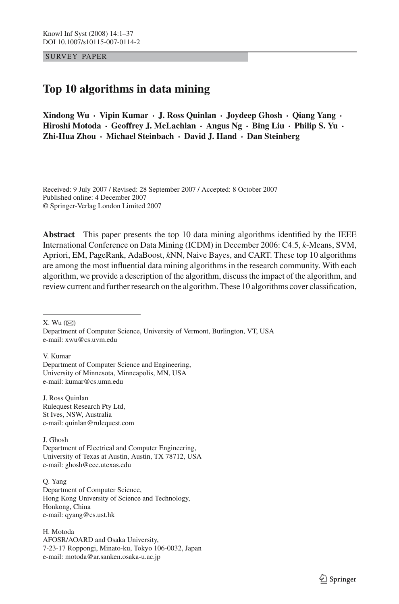SURVEY PAPER

# **Top 10 algorithms in data mining**

**Xindong Wu · Vipin Kumar · J. Ross Quinlan · Joydeep Ghosh · Qiang Yang · Hiroshi Motoda · Geoffrey J. McLachlan · Angus Ng · Bing Liu · Philip S. Yu · Zhi-Hua Zhou · Michael Steinbach · David J. Hand · Dan Steinberg**

Received: 9 July 2007 / Revised: 28 September 2007 / Accepted: 8 October 2007 Published online: 4 December 2007 © Springer-Verlag London Limited 2007

**Abstract** This paper presents the top 10 data mining algorithms identified by the IEEE International Conference on Data Mining (ICDM) in December 2006: C4.5, *k*-Means, SVM, Apriori, EM, PageRank, AdaBoost, *k*NN, Naive Bayes, and CART. These top 10 algorithms are among the most influential data mining algorithms in the research community. With each algorithm, we provide a description of the algorithm, discuss the impact of the algorithm, and review current and further research on the algorithm. These 10 algorithms cover classification,

 $X. Wu (\boxtimes)$ 

V. Kumar Department of Computer Science and Engineering, University of Minnesota, Minneapolis, MN, USA e-mail: kumar@cs.umn.edu

J. Ross Quinlan Rulequest Research Pty Ltd, St Ives, NSW, Australia e-mail: quinlan@rulequest.com

J. Ghosh Department of Electrical and Computer Engineering, University of Texas at Austin, Austin, TX 78712, USA e-mail: ghosh@ece.utexas.edu

Q. Yang Department of Computer Science, Hong Kong University of Science and Technology, Honkong, China e-mail: qyang@cs.ust.hk

H. Motoda AFOSR/AOARD and Osaka University, 7-23-17 Roppongi, Minato-ku, Tokyo 106-0032, Japan e-mail: motoda@ar.sanken.osaka-u.ac.jp

Department of Computer Science, University of Vermont, Burlington, VT, USA e-mail: xwu@cs.uvm.edu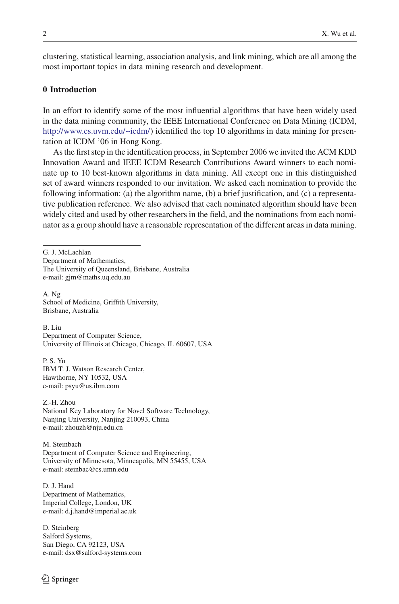clustering, statistical learning, association analysis, and link mining, which are all among the most important topics in data mining research and development.

# **0 Introduction**

In an effort to identify some of the most influential algorithms that have been widely used in the data mining community, the IEEE International Conference on Data Mining (ICDM, [http://www.cs.uvm.edu/~icdm/\)](http://www.cs.uvm.edu/~icdm/) identified the top 10 algorithms in data mining for presentation at ICDM '06 in Hong Kong.

As the first step in the identification process, in September 2006 we invited the ACM KDD Innovation Award and IEEE ICDM Research Contributions Award winners to each nominate up to 10 best-known algorithms in data mining. All except one in this distinguished set of award winners responded to our invitation. We asked each nomination to provide the following information: (a) the algorithm name, (b) a brief justification, and (c) a representative publication reference. We also advised that each nominated algorithm should have been widely cited and used by other researchers in the field, and the nominations from each nominator as a group should have a reasonable representation of the different areas in data mining.

G. J. McLachlan

Department of Mathematics,

The University of Queensland, Brisbane, Australia e-mail: gjm@maths.uq.edu.au

A. Ng School of Medicine, Griffith University, Brisbane, Australia

B. Liu Department of Computer Science, University of Illinois at Chicago, Chicago, IL 60607, USA

P. S. Yu IBM T. J. Watson Research Center, Hawthorne, NY 10532, USA e-mail: psyu@us.ibm.com

Z.-H. Zhou National Key Laboratory for Novel Software Technology, Nanjing University, Nanjing 210093, China e-mail: zhouzh@nju.edu.cn

M. Steinbach Department of Computer Science and Engineering, University of Minnesota, Minneapolis, MN 55455, USA e-mail: steinbac@cs.umn.edu

D. J. Hand Department of Mathematics, Imperial College, London, UK e-mail: d.j.hand@imperial.ac.uk

D. Steinberg Salford Systems, San Diego, CA 92123, USA e-mail: dsx@salford-systems.com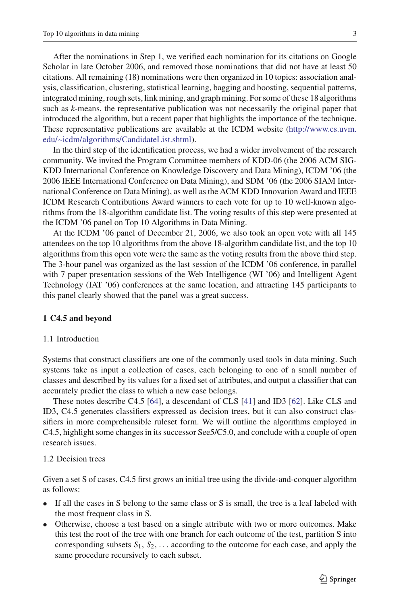After the nominations in Step 1, we verified each nomination for its citations on Google Scholar in late October 2006, and removed those nominations that did not have at least 50 citations. All remaining (18) nominations were then organized in 10 topics: association analysis, classification, clustering, statistical learning, bagging and boosting, sequential patterns, integrated mining, rough sets, link mining, and graph mining. For some of these 18 algorithms such as *k*-means, the representative publication was not necessarily the original paper that introduced the algorithm, but a recent paper that highlights the importance of the technique. These representative publications are available at the ICDM website [\(http://www.cs.uvm.](http://www.cs.uvm.edu/~icdm/algorithms/CandidateList.shtml) [edu/~icdm/algorithms/CandidateList.shtml\)](http://www.cs.uvm.edu/~icdm/algorithms/CandidateList.shtml).

In the third step of the identification process, we had a wider involvement of the research community. We invited the Program Committee members of KDD-06 (the 2006 ACM SIG-KDD International Conference on Knowledge Discovery and Data Mining), ICDM '06 (the 2006 IEEE International Conference on Data Mining), and SDM '06 (the 2006 SIAM International Conference on Data Mining), as well as the ACM KDD Innovation Award and IEEE ICDM Research Contributions Award winners to each vote for up to 10 well-known algorithms from the 18-algorithm candidate list. The voting results of this step were presented at the ICDM '06 panel on Top 10 Algorithms in Data Mining.

At the ICDM '06 panel of December 21, 2006, we also took an open vote with all 145 attendees on the top 10 algorithms from the above 18-algorithm candidate list, and the top 10 algorithms from this open vote were the same as the voting results from the above third step. The 3-hour panel was organized as the last session of the ICDM '06 conference, in parallel with 7 paper presentation sessions of the Web Intelligence (WI '06) and Intelligent Agent Technology (IAT '06) conferences at the same location, and attracting 145 participants to this panel clearly showed that the panel was a great success.

### **1 C4.5 and beyond**

### 1.1 Introduction

Systems that construct classifiers are one of the commonly used tools in data mining. Such systems take as input a collection of cases, each belonging to one of a small number of classes and described by its values for a fixed set of attributes, and output a classifier that can accurately predict the class to which a new case belongs.

These notes describe C4.5 [\[64\]](#page-35-0), a descendant of CLS [\[41](#page-34-0)] and ID3 [\[62\]](#page-35-1). Like CLS and ID3, C4.5 generates classifiers expressed as decision trees, but it can also construct classifiers in more comprehensible ruleset form. We will outline the algorithms employed in C4.5, highlight some changes in its successor See5/C5.0, and conclude with a couple of open research issues.

# 1.2 Decision trees

Given a set S of cases, C4.5 first grows an initial tree using the divide-and-conquer algorithm as follows:

- If all the cases in S belong to the same class or S is small, the tree is a leaf labeled with the most frequent class in S.
- Otherwise, choose a test based on a single attribute with two or more outcomes. Make this test the root of the tree with one branch for each outcome of the test, partition S into corresponding subsets  $S_1, S_2, \ldots$  according to the outcome for each case, and apply the same procedure recursively to each subset.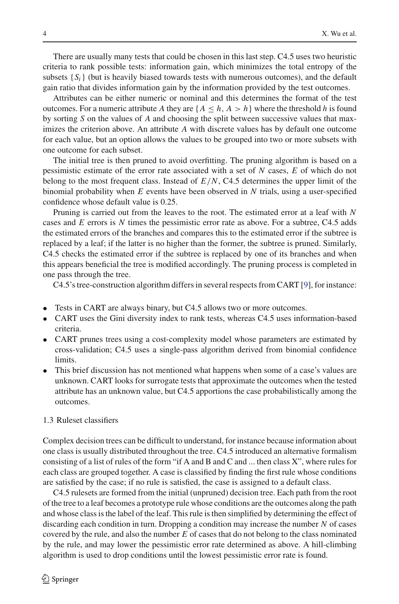There are usually many tests that could be chosen in this last step. C4.5 uses two heuristic criteria to rank possible tests: information gain, which minimizes the total entropy of the subsets  $\{S_i\}$  (but is heavily biased towards tests with numerous outcomes), and the default gain ratio that divides information gain by the information provided by the test outcomes.

Attributes can be either numeric or nominal and this determines the format of the test outcomes. For a numeric attribute *A* they are  ${A \le h, A > h}$  where the threshold *h* is found by sorting *S* on the values of *A* and choosing the split between successive values that maximizes the criterion above. An attribute *A* with discrete values has by default one outcome for each value, but an option allows the values to be grouped into two or more subsets with one outcome for each subset.

The initial tree is then pruned to avoid overfitting. The pruning algorithm is based on a pessimistic estimate of the error rate associated with a set of *N* cases, *E* of which do not belong to the most frequent class. Instead of *E*/*N*, C4.5 determines the upper limit of the binomial probability when *E* events have been observed in *N* trials, using a user-specified confidence whose default value is 0.25.

Pruning is carried out from the leaves to the root. The estimated error at a leaf with *N* cases and *E* errors is *N* times the pessimistic error rate as above. For a subtree, C4.5 adds the estimated errors of the branches and compares this to the estimated error if the subtree is replaced by a leaf; if the latter is no higher than the former, the subtree is pruned. Similarly, C4.5 checks the estimated error if the subtree is replaced by one of its branches and when this appears beneficial the tree is modified accordingly. The pruning process is completed in one pass through the tree.

C4.5's tree-construction algorithm differs in several respects from CART [\[9](#page-33-0)], for instance:

- Tests in CART are always binary, but C4.5 allows two or more outcomes.
- CART uses the Gini diversity index to rank tests, whereas C4.5 uses information-based criteria.
- CART prunes trees using a cost-complexity model whose parameters are estimated by cross-validation; C4.5 uses a single-pass algorithm derived from binomial confidence limits.
- This brief discussion has not mentioned what happens when some of a case's values are unknown. CART looks for surrogate tests that approximate the outcomes when the tested attribute has an unknown value, but C4.5 apportions the case probabilistically among the outcomes.

## 1.3 Ruleset classifiers

Complex decision trees can be difficult to understand, for instance because information about one class is usually distributed throughout the tree. C4.5 introduced an alternative formalism consisting of a list of rules of the form "if A and B and C and ... then class X", where rules for each class are grouped together. A case is classified by finding the first rule whose conditions are satisfied by the case; if no rule is satisfied, the case is assigned to a default class.

C4.5 rulesets are formed from the initial (unpruned) decision tree. Each path from the root of the tree to a leaf becomes a prototype rule whose conditions are the outcomes along the path and whose class is the label of the leaf. This rule is then simplified by determining the effect of discarding each condition in turn. Dropping a condition may increase the number *N* of cases covered by the rule, and also the number *E* of cases that do not belong to the class nominated by the rule, and may lower the pessimistic error rate determined as above. A hill-climbing algorithm is used to drop conditions until the lowest pessimistic error rate is found.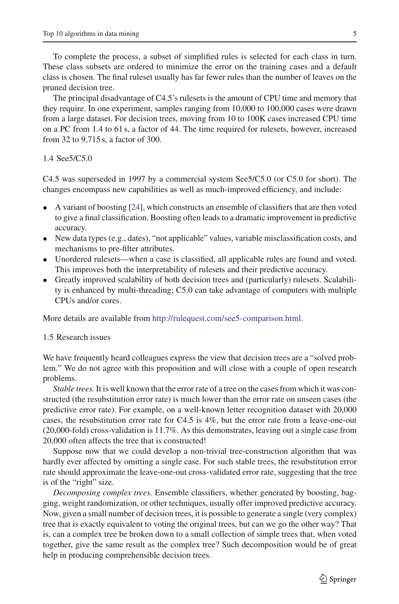To complete the process, a subset of simplified rules is selected for each class in turn. These class subsets are ordered to minimize the error on the training cases and a default class is chosen. The final ruleset usually has far fewer rules than the number of leaves on the pruned decision tree.

The principal disadvantage of C4.5's rulesets is the amount of CPU time and memory that they require. In one experiment, samples ranging from 10,000 to 100,000 cases were drawn from a large dataset. For decision trees, moving from 10 to 100K cases increased CPU time on a PC from 1.4 to 61 s, a factor of 44. The time required for rulesets, however, increased from 32 to 9,715 s, a factor of 300.

1.4 See5/C5.0

C4.5 was superseded in 1997 by a commercial system See5/C5.0 (or C5.0 for short). The changes encompass new capabilities as well as much-improved efficiency, and include:

- A variant of boosting [\[24](#page-34-1)], which constructs an ensemble of classifiers that are then voted to give a final classification. Boosting often leads to a dramatic improvement in predictive accuracy.
- New data types (e.g., dates), "not applicable" values, variable misclassification costs, and mechanisms to pre-filter attributes.
- Unordered rulesets—when a case is classified, all applicable rules are found and voted. This improves both the interpretability of rulesets and their predictive accuracy.
- Greatly improved scalability of both decision trees and (particularly) rulesets. Scalability is enhanced by multi-threading; C5.0 can take advantage of computers with multiple CPUs and/or cores.

More details are available from <http://rulequest.com/see5-comparison.html.>

1.5 Research issues

We have frequently heard colleagues express the view that decision trees are a "solved problem." We do not agree with this proposition and will close with a couple of open research problems.

*Stable trees.* It is well known that the error rate of a tree on the cases from which it was constructed (the resubstitution error rate) is much lower than the error rate on unseen cases (the predictive error rate). For example, on a well-known letter recognition dataset with 20,000 cases, the resubstitution error rate for C4.5 is 4%, but the error rate from a leave-one-out (20,000-fold) cross-validation is 11.7%. As this demonstrates, leaving out a single case from 20,000 often affects the tree that is constructed!

Suppose now that we could develop a non-trivial tree-construction algorithm that was hardly ever affected by omitting a single case. For such stable trees, the resubstitution error rate should approximate the leave-one-out cross-validated error rate, suggesting that the tree is of the "right" size.

*Decomposing complex trees.* Ensemble classifiers, whether generated by boosting, bagging, weight randomization, or other techniques, usually offer improved predictive accuracy. Now, given a small number of decision trees, it is possible to generate a single (very complex) tree that is exactly equivalent to voting the original trees, but can we go the other way? That is, can a complex tree be broken down to a small collection of simple trees that, when voted together, give the same result as the complex tree? Such decomposition would be of great help in producing comprehensible decision trees.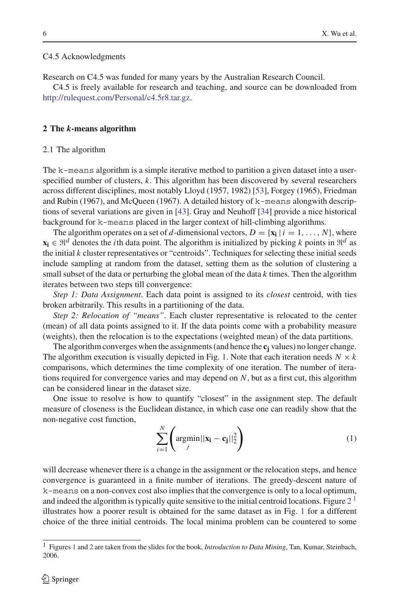### C4.5 Acknowledgments

Research on C4.5 was funded for many years by the Australian Research Council.

C4.5 is freely available for research and teaching, and source can be downloaded from [http://rulequest.com/Personal/c4.5r8.tar.gz.](http://rulequest.com/Personal/c4.5r8.tar.gz)

# **2 The** *k***-means algorithm**

# 2.1 The algorithm

The k-means algorithm is a simple iterative method to partition a given dataset into a userspecified number of clusters, *k*. This algorithm has been discovered by several researchers across different disciplines, most notably Lloyd (1957, 1982) [\[53](#page-35-2)], Forgey (1965), Friedman and Rubin (1967), and McQueen (1967). A detailed history of k-means alongwith descriptions of several variations are given in [\[43](#page-34-2)]. Gray and Neuhoff [\[34\]](#page-34-3) provide a nice historical background for k-means placed in the larger context of hill-climbing algorithms.

The algorithm operates on a set of *d*-dimensional vectors,  $D = {\bf x_i \mid i = 1, ..., N}$ , where  $\mathbf{x_i} \in \mathbb{R}^d$  denotes the *i*th data point. The algorithm is initialized by picking *k* points in  $\mathbb{R}^d$  as the initial *k* cluster representatives or "centroids". Techniques for selecting these initial seeds include sampling at random from the dataset, setting them as the solution of clustering a small subset of the data or perturbing the global mean of the data *k* times. Then the algorithm iterates between two steps till convergence:

*Step 1: Data Assignment*. Each data point is assigned to its *closest* centroid, with ties broken arbitrarily. This results in a partitioning of the data.

*Step 2: Relocation of "means"*. Each cluster representative is relocated to the center (mean) of all data points assigned to it. If the data points come with a probability measure (weights), then the relocation is to the expectations (weighted mean) of the data partitions.

The algorithm converges when the assignments (and hence the **cj** values) no longer change. The algorithm execution is visually depicted in Fig. [1.](#page-6-0) Note that each iteration needs  $N \times k$ comparisons, which determines the time complexity of one iteration. The number of iterations required for convergence varies and may depend on *N*, but as a first cut, this algorithm can be considered linear in the dataset size.

<span id="page-5-1"></span>One issue to resolve is how to quantify "closest" in the assignment step. The default measure of closeness is the Euclidean distance, in which case one can readily show that the non-negative cost function,

$$
\sum_{i=1}^{N} \left( \underset{j}{\text{argmin}} ||\mathbf{x_i} - \mathbf{c_j}||_2^2 \right) \tag{1}
$$

will decrease whenever there is a change in the assignment or the relocation steps, and hence convergence is guaranteed in a finite number of iterations. The greedy-descent nature of k-means on a non-convex cost also implies that the convergence is only to a local optimum, and indeed the algorithm is typically quite sensitive to the initial centroid locations. Figure  $2<sup>1</sup>$  $2<sup>1</sup>$  $2<sup>1</sup>$  $2<sup>1</sup>$ illustrates how a poorer result is obtained for the same dataset as in Fig. [1](#page-6-0) for a different choice of the three initial centroids. The local minima problem can be countered to some

<span id="page-5-0"></span><sup>1</sup> Figures [1](#page-6-0) and [2](#page-7-0) are taken from the slides for the book, *Introduction to Data Mining*, Tan, Kumar, Steinbach, 2006.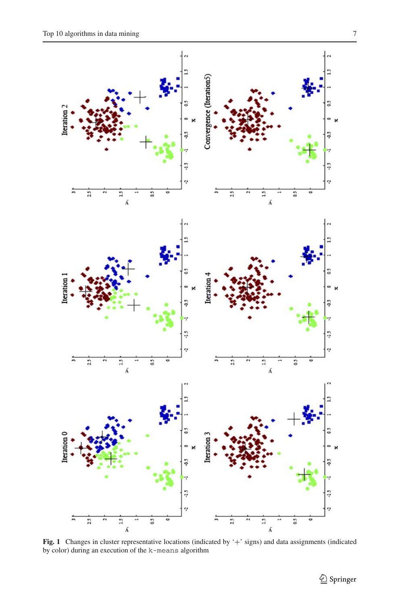

<span id="page-6-0"></span>Fig. 1 Changes in cluster representative locations (indicated by '+' signs) and data assignments (indicated by color) during an execution of the k-means algorithm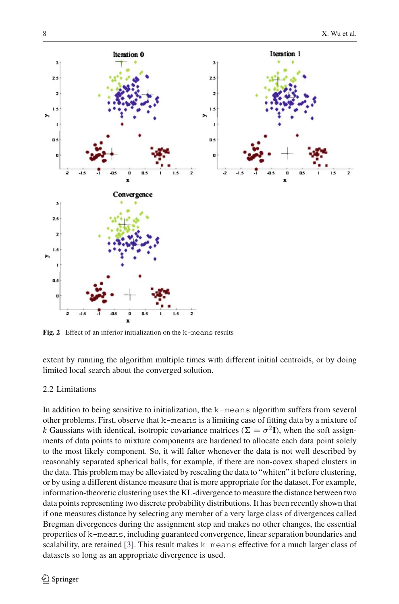

<span id="page-7-0"></span>**Fig. 2** Effect of an inferior initialization on the k-means results

extent by running the algorithm multiple times with different initial centroids, or by doing limited local search about the converged solution.

# 2.2 Limitations

In addition to being sensitive to initialization, the k-means algorithm suffers from several other problems. First, observe that k-means is a limiting case of fitting data by a mixture of *k* Gaussians with identical, isotropic covariance matrices ( $\Sigma = \sigma^2 I$ ), when the soft assignments of data points to mixture components are hardened to allocate each data point solely to the most likely component. So, it will falter whenever the data is not well described by reasonably separated spherical balls, for example, if there are non-covex shaped clusters in the data. This problem may be alleviated by rescaling the data to "whiten" it before clustering, or by using a different distance measure that is more appropriate for the dataset. For example, information-theoretic clustering uses the KL-divergence to measure the distance between two data points representing two discrete probability distributions. It has been recently shown that if one measures distance by selecting any member of a very large class of divergences called Bregman divergences during the assignment step and makes no other changes, the essential properties of k-means, including guaranteed convergence, linear separation boundaries and scalability, are retained [\[3](#page-33-1)]. This result makes k-means effective for a much larger class of datasets so long as an appropriate divergence is used.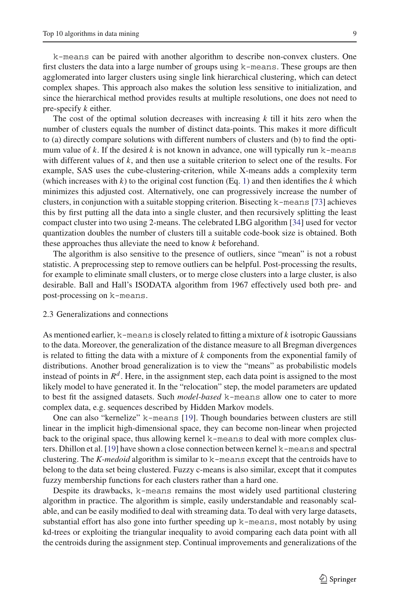k-means can be paired with another algorithm to describe non-convex clusters. One first clusters the data into a large number of groups using k-means. These groups are then agglomerated into larger clusters using single link hierarchical clustering, which can detect complex shapes. This approach also makes the solution less sensitive to initialization, and since the hierarchical method provides results at multiple resolutions, one does not need to pre-specify *k* either.

The cost of the optimal solution decreases with increasing *k* till it hits zero when the number of clusters equals the number of distinct data-points. This makes it more difficult to (a) directly compare solutions with different numbers of clusters and (b) to find the optimum value of  $k$ . If the desired  $k$  is not known in advance, one will typically run  $k$ -means with different values of *k*, and then use a suitable criterion to select one of the results. For example, SAS uses the cube-clustering-criterion, while X-means adds a complexity term (which increases with  $k$ ) to the original cost function (Eq. [1\)](#page-5-1) and then identifies the  $k$  which minimizes this adjusted cost. Alternatively, one can progressively increase the number of clusters, in conjunction with a suitable stopping criterion. Bisecting k-means [\[73\]](#page-35-3) achieves this by first putting all the data into a single cluster, and then recursively splitting the least compact cluster into two using 2-means. The celebrated LBG algorithm [\[34\]](#page-34-3) used for vector quantization doubles the number of clusters till a suitable code-book size is obtained. Both these approaches thus alleviate the need to know *k* beforehand.

The algorithm is also sensitive to the presence of outliers, since "mean" is not a robust statistic. A preprocessing step to remove outliers can be helpful. Post-processing the results, for example to eliminate small clusters, or to merge close clusters into a large cluster, is also desirable. Ball and Hall's ISODATA algorithm from 1967 effectively used both pre- and post-processing on k-means.

### 2.3 Generalizations and connections

As mentioned earlier, k-means is closely related to fitting a mixture of *k* isotropic Gaussians to the data. Moreover, the generalization of the distance measure to all Bregman divergences is related to fitting the data with a mixture of *k* components from the exponential family of distributions. Another broad generalization is to view the "means" as probabilistic models instead of points in *R<sup>d</sup>* . Here, in the assignment step, each data point is assigned to the most likely model to have generated it. In the "relocation" step, the model parameters are updated to best fit the assigned datasets. Such *model-based* k-means allow one to cater to more complex data, e.g. sequences described by Hidden Markov models.

One can also "kernelize" k-means [\[19\]](#page-34-4). Though boundaries between clusters are still linear in the implicit high-dimensional space, they can become non-linear when projected back to the original space, thus allowing kernel k-means to deal with more complex clusters. Dhillon et al. [\[19\]](#page-34-4) have shown a close connection between kernel k-means and spectral clustering. The *K-medoid* algorithm is similar to k-means except that the centroids have to belong to the data set being clustered. Fuzzy c-means is also similar, except that it computes fuzzy membership functions for each clusters rather than a hard one.

Despite its drawbacks, k-means remains the most widely used partitional clustering algorithm in practice. The algorithm is simple, easily understandable and reasonably scalable, and can be easily modified to deal with streaming data. To deal with very large datasets, substantial effort has also gone into further speeding up k-means, most notably by using kd-trees or exploiting the triangular inequality to avoid comparing each data point with all the centroids during the assignment step. Continual improvements and generalizations of the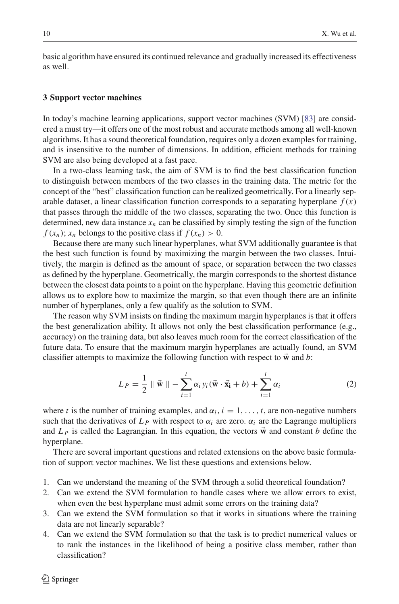basic algorithm have ensured its continued relevance and gradually increased its effectiveness as well.

#### **3 Support vector machines**

In today's machine learning applications, support vector machines (SVM) [\[83](#page-35-4)] are considered a must try—it offers one of the most robust and accurate methods among all well-known algorithms. It has a sound theoretical foundation, requires only a dozen examples for training, and is insensitive to the number of dimensions. In addition, efficient methods for training SVM are also being developed at a fast pace.

In a two-class learning task, the aim of SVM is to find the best classification function to distinguish between members of the two classes in the training data. The metric for the concept of the "best" classification function can be realized geometrically. For a linearly separable dataset, a linear classification function corresponds to a separating hyperplane  $f(x)$ that passes through the middle of the two classes, separating the two. Once this function is determined, new data instance  $x_n$  can be classified by simply testing the sign of the function  $f(x_n)$ ;  $x_n$  belongs to the positive class if  $f(x_n) > 0$ .

Because there are many such linear hyperplanes, what SVM additionally guarantee is that the best such function is found by maximizing the margin between the two classes. Intuitively, the margin is defined as the amount of space, or separation between the two classes as defined by the hyperplane. Geometrically, the margin corresponds to the shortest distance between the closest data points to a point on the hyperplane. Having this geometric definition allows us to explore how to maximize the margin, so that even though there are an infinite number of hyperplanes, only a few qualify as the solution to SVM.

The reason why SVM insists on finding the maximum margin hyperplanes is that it offers the best generalization ability. It allows not only the best classification performance (e.g., accuracy) on the training data, but also leaves much room for the correct classification of the future data. To ensure that the maximum margin hyperplanes are actually found, an SVM classifier attempts to maximize the following function with respect to  $\vec{w}$  and *b*:

$$
L_P = \frac{1}{2} \parallel \vec{\mathbf{w}} \parallel -\sum_{i=1}^t \alpha_i y_i (\vec{\mathbf{w}} \cdot \vec{\mathbf{x}}_i + b) + \sum_{i=1}^t \alpha_i
$$
 (2)

where *t* is the number of training examples, and  $\alpha_i$ ,  $i = 1, \ldots, t$ , are non-negative numbers such that the derivatives of  $L_P$  with respect to  $\alpha_i$  are zero.  $\alpha_i$  are the Lagrange multipliers and  $L_P$  is called the Lagrangian. In this equation, the vectors  $\vec{w}$  and constant *b* define the hyperplane.

There are several important questions and related extensions on the above basic formulation of support vector machines. We list these questions and extensions below.

- 1. Can we understand the meaning of the SVM through a solid theoretical foundation?
- 2. Can we extend the SVM formulation to handle cases where we allow errors to exist, when even the best hyperplane must admit some errors on the training data?
- 3. Can we extend the SVM formulation so that it works in situations where the training data are not linearly separable?
- 4. Can we extend the SVM formulation so that the task is to predict numerical values or to rank the instances in the likelihood of being a positive class member, rather than classification?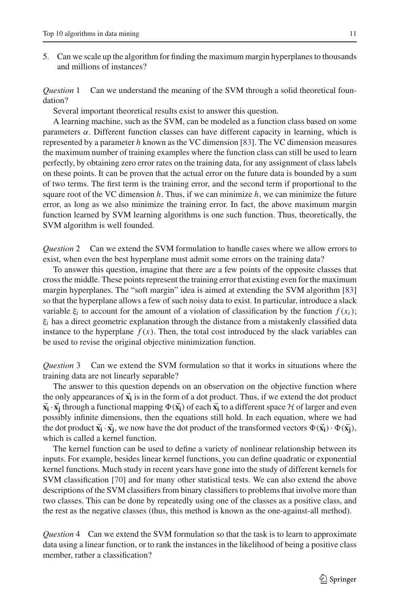5. Can we scale up the algorithm for finding the maximum margin hyperplanes to thousands and millions of instances?

*Question* 1 Can we understand the meaning of the SVM through a solid theoretical foundation?

Several important theoretical results exist to answer this question.

A learning machine, such as the SVM, can be modeled as a function class based on some parameters  $\alpha$ . Different function classes can have different capacity in learning, which is represented by a parameter *h* known as the VC dimension [\[83](#page-35-4)]. The VC dimension measures the maximum number of training examples where the function class can still be used to learn perfectly, by obtaining zero error rates on the training data, for any assignment of class labels on these points. It can be proven that the actual error on the future data is bounded by a sum of two terms. The first term is the training error, and the second term if proportional to the square root of the VC dimension *h*. Thus, if we can minimize *h*, we can minimize the future error, as long as we also minimize the training error. In fact, the above maximum margin function learned by SVM learning algorithms is one such function. Thus, theoretically, the SVM algorithm is well founded.

*Question* 2 Can we extend the SVM formulation to handle cases where we allow errors to exist, when even the best hyperplane must admit some errors on the training data?

To answer this question, imagine that there are a few points of the opposite classes that cross the middle. These points represent the training error that existing even for the maximum margin hyperplanes. The "soft margin" idea is aimed at extending the SVM algorithm [\[83\]](#page-35-4) so that the hyperplane allows a few of such noisy data to exist. In particular, introduce a slack variable  $\xi_i$  to account for the amount of a violation of classification by the function  $f(x_i)$ ;  $\xi$ <sub>*i*</sub> has a direct geometric explanation through the distance from a mistakenly classified data instance to the hyperplane  $f(x)$ . Then, the total cost introduced by the slack variables can be used to revise the original objective minimization function.

*Question* 3 Can we extend the SVM formulation so that it works in situations where the training data are not linearly separable?

The answer to this question depends on an observation on the objective function where the only appearances of  $\vec{x}_i$  is in the form of a dot product. Thus, if we extend the dot product  $\vec{x}_i \cdot \vec{x}_j$  through a functional mapping  $\Phi(\vec{x}_i)$  of each  $\vec{x}_i$  to a different space  $H$  of larger and even possibly infinite dimensions, then the equations still hold. In each equation, where we had the dot product  $\vec{x_i} \cdot \vec{x_i}$ , we now have the dot product of the transformed vectors  $\Phi(\vec{x_i}) \cdot \Phi(\vec{x_i})$ , which is called a kernel function.

The kernel function can be used to define a variety of nonlinear relationship between its inputs. For example, besides linear kernel functions, you can define quadratic or exponential kernel functions. Much study in recent years have gone into the study of different kernels for SVM classification [\[70\]](#page-35-5) and for many other statistical tests. We can also extend the above descriptions of the SVM classifiers from binary classifiers to problems that involve more than two classes. This can be done by repeatedly using one of the classes as a positive class, and the rest as the negative classes (thus, this method is known as the one-against-all method).

*Question* 4 Can we extend the SVM formulation so that the task is to learn to approximate data using a linear function, or to rank the instances in the likelihood of being a positive class member, rather a classification?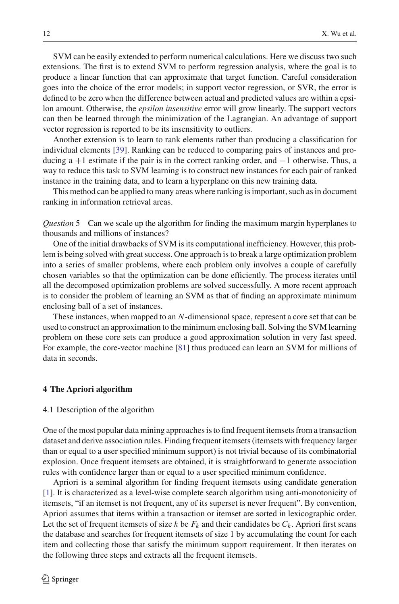SVM can be easily extended to perform numerical calculations. Here we discuss two such extensions. The first is to extend SVM to perform regression analysis, where the goal is to produce a linear function that can approximate that target function. Careful consideration goes into the choice of the error models; in support vector regression, or SVR, the error is defined to be zero when the difference between actual and predicted values are within a epsilon amount. Otherwise, the *epsilon insensitive* error will grow linearly. The support vectors can then be learned through the minimization of the Lagrangian. An advantage of support vector regression is reported to be its insensitivity to outliers.

Another extension is to learn to rank elements rather than producing a classification for individual elements [\[39\]](#page-34-5). Ranking can be reduced to comparing pairs of instances and producing a  $+1$  estimate if the pair is in the correct ranking order, and  $-1$  otherwise. Thus, a way to reduce this task to SVM learning is to construct new instances for each pair of ranked instance in the training data, and to learn a hyperplane on this new training data.

This method can be applied to many areas where ranking is important, such as in document ranking in information retrieval areas.

*Question* 5 Can we scale up the algorithm for finding the maximum margin hyperplanes to thousands and millions of instances?

One of the initial drawbacks of SVM is its computational inefficiency. However, this problem is being solved with great success. One approach is to break a large optimization problem into a series of smaller problems, where each problem only involves a couple of carefully chosen variables so that the optimization can be done efficiently. The process iterates until all the decomposed optimization problems are solved successfully. A more recent approach is to consider the problem of learning an SVM as that of finding an approximate minimum enclosing ball of a set of instances.

These instances, when mapped to an *N*-dimensional space, represent a core set that can be used to construct an approximation to the minimum enclosing ball. Solving the SVM learning problem on these core sets can produce a good approximation solution in very fast speed. For example, the core-vector machine [\[81\]](#page-35-6) thus produced can learn an SVM for millions of data in seconds.

## **4 The Apriori algorithm**

#### 4.1 Description of the algorithm

One of the most popular data mining approaches is to find frequent itemsets from a transaction dataset and derive association rules. Finding frequent itemsets (itemsets with frequency larger than or equal to a user specified minimum support) is not trivial because of its combinatorial explosion. Once frequent itemsets are obtained, it is straightforward to generate association rules with confidence larger than or equal to a user specified minimum confidence.

Apriori is a seminal algorithm for finding frequent itemsets using candidate generation [\[1](#page-33-2)]. It is characterized as a level-wise complete search algorithm using anti-monotonicity of itemsets, "if an itemset is not frequent, any of its superset is never frequent". By convention, Apriori assumes that items within a transaction or itemset are sorted in lexicographic order. Let the set of frequent itemsets of size *k* be  $F_k$  and their candidates be  $C_k$ . Apriori first scans the database and searches for frequent itemsets of size 1 by accumulating the count for each item and collecting those that satisfy the minimum support requirement. It then iterates on the following three steps and extracts all the frequent itemsets.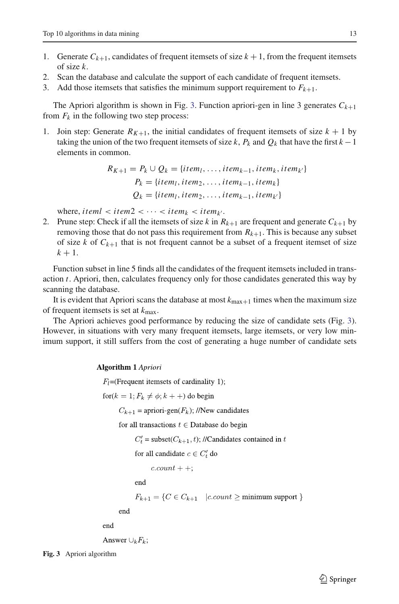- 1. Generate  $C_{k+1}$ , candidates of frequent itemsets of size  $k+1$ , from the frequent itemsets of size *k*.
- 2. Scan the database and calculate the support of each candidate of frequent itemsets.
- 3. Add those itemsets that satisfies the minimum support requirement to  $F_{k+1}$ .

The Apriori algorithm is shown in Fig. [3.](#page-12-0) Function apriori-gen in line 3 generates  $C_{k+1}$ from  $F_k$  in the following two step process:

1. Join step: Generate  $R_{K+1}$ , the initial candidates of frequent itemsets of size  $k + 1$  by taking the union of the two frequent itemsets of size  $k$ ,  $P_k$  and  $Q_k$  that have the first  $k-1$ elements in common.

$$
R_{K+1} = P_k \cup Q_k = \{item_l, \dots, item_{k-1}, item_k, item_{k'}\}
$$
  
\n
$$
P_k = \{item_l, item_2, \dots, item_{k-1}, item_k\}
$$
  
\n
$$
Q_k = \{item_l, item_2, \dots, item_{k-1}, item_{k'}\}
$$

where, *iteml* < *item*<sub>2</sub> <  $\cdots$  < *item*<sub>k</sub> < *item*<sub>k</sub>.

2. Prune step: Check if all the itemsets of size  $k$  in  $R_{k+1}$  are frequent and generate  $C_{k+1}$  by removing those that do not pass this requirement from  $R_{k+1}$ . This is because any subset of size  $k$  of  $C_{k+1}$  that is not frequent cannot be a subset of a frequent itemset of size  $k + 1$ .

Function subset in line 5 finds all the candidates of the frequent itemsets included in transaction *t*. Apriori, then, calculates frequency only for those candidates generated this way by scanning the database.

It is evident that Apriori scans the database at most  $k_{\text{max}+1}$  times when the maximum size of frequent itemsets is set at *k*max.

The Apriori achieves good performance by reducing the size of candidate sets (Fig. [3\)](#page-12-0). However, in situations with very many frequent itemsets, large itemsets, or very low minimum support, it still suffers from the cost of generating a huge number of candidate sets

**Algorithm 1** Apriori

 $F_l$ =(Frequent itemsets of cardinality 1);

 $for(k = 1; F_k \neq \phi; k++)$  do begin

 $C_{k+1}$  = apriori-gen( $F_k$ ); //New candidates

for all transactions  $t \in$  Database do begin

 $C'_{t}$  = subset( $C_{k+1}$ , t); //Candidates contained in t

for all candidate  $c \in C'_t$  do

 $c.count + +$ 

end

 $F_{k+1} = \{ C \in C_{k+1} \mid c.count \geq \text{minimum support} \}$ 

end

end

Answer  $\cup_k F_k$ ;

<span id="page-12-0"></span>**Fig. 3** Apriori algorithm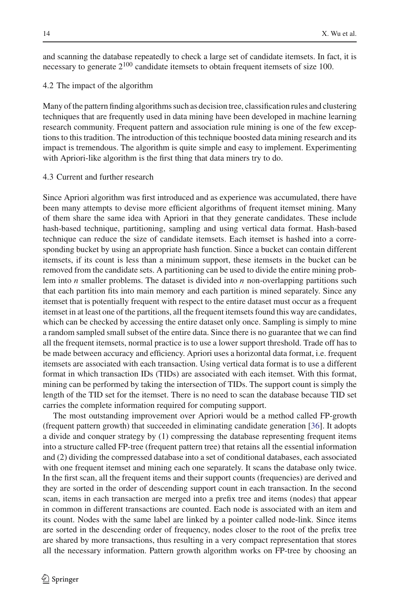and scanning the database repeatedly to check a large set of candidate itemsets. In fact, it is necessary to generate  $2^{100}$  candidate itemsets to obtain frequent itemsets of size 100.

# 4.2 The impact of the algorithm

Many of the pattern finding algorithms such as decision tree, classification rules and clustering techniques that are frequently used in data mining have been developed in machine learning research community. Frequent pattern and association rule mining is one of the few exceptions to this tradition. The introduction of this technique boosted data mining research and its impact is tremendous. The algorithm is quite simple and easy to implement. Experimenting with Apriori-like algorithm is the first thing that data miners try to do.

# 4.3 Current and further research

Since Apriori algorithm was first introduced and as experience was accumulated, there have been many attempts to devise more efficient algorithms of frequent itemset mining. Many of them share the same idea with Apriori in that they generate candidates. These include hash-based technique, partitioning, sampling and using vertical data format. Hash-based technique can reduce the size of candidate itemsets. Each itemset is hashed into a corresponding bucket by using an appropriate hash function. Since a bucket can contain different itemsets, if its count is less than a minimum support, these itemsets in the bucket can be removed from the candidate sets. A partitioning can be used to divide the entire mining problem into *n* smaller problems. The dataset is divided into *n* non-overlapping partitions such that each partition fits into main memory and each partition is mined separately. Since any itemset that is potentially frequent with respect to the entire dataset must occur as a frequent itemset in at least one of the partitions, all the frequent itemsets found this way are candidates, which can be checked by accessing the entire dataset only once. Sampling is simply to mine a random sampled small subset of the entire data. Since there is no guarantee that we can find all the frequent itemsets, normal practice is to use a lower support threshold. Trade off has to be made between accuracy and efficiency. Apriori uses a horizontal data format, i.e. frequent itemsets are associated with each transaction. Using vertical data format is to use a different format in which transaction IDs (TIDs) are associated with each itemset. With this format, mining can be performed by taking the intersection of TIDs. The support count is simply the length of the TID set for the itemset. There is no need to scan the database because TID set carries the complete information required for computing support.

The most outstanding improvement over Apriori would be a method called FP-growth (frequent pattern growth) that succeeded in eliminating candidate generation [\[36](#page-34-6)]. It adopts a divide and conquer strategy by (1) compressing the database representing frequent items into a structure called FP-tree (frequent pattern tree) that retains all the essential information and (2) dividing the compressed database into a set of conditional databases, each associated with one frequent itemset and mining each one separately. It scans the database only twice. In the first scan, all the frequent items and their support counts (frequencies) are derived and they are sorted in the order of descending support count in each transaction. In the second scan, items in each transaction are merged into a prefix tree and items (nodes) that appear in common in different transactions are counted. Each node is associated with an item and its count. Nodes with the same label are linked by a pointer called node-link. Since items are sorted in the descending order of frequency, nodes closer to the root of the prefix tree are shared by more transactions, thus resulting in a very compact representation that stores all the necessary information. Pattern growth algorithm works on FP-tree by choosing an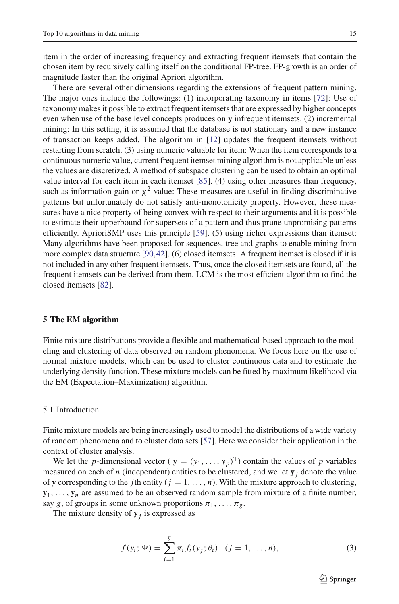item in the order of increasing frequency and extracting frequent itemsets that contain the chosen item by recursively calling itself on the conditional FP-tree. FP-growth is an order of magnitude faster than the original Apriori algorithm.

There are several other dimensions regarding the extensions of frequent pattern mining. The major ones include the followings: (1) incorporating taxonomy in items [\[72](#page-35-7)]: Use of taxonomy makes it possible to extract frequent itemsets that are expressed by higher concepts even when use of the base level concepts produces only infrequent itemsets. (2) incremental mining: In this setting, it is assumed that the database is not stationary and a new instance of transaction keeps added. The algorithm in [\[12\]](#page-33-3) updates the frequent itemsets without restarting from scratch. (3) using numeric valuable for item: When the item corresponds to a continuous numeric value, current frequent itemset mining algorithm is not applicable unless the values are discretized. A method of subspace clustering can be used to obtain an optimal value interval for each item in each itemset [\[85\]](#page-36-0). (4) using other measures than frequency, such as information gain or  $\chi^2$  value: These measures are useful in finding discriminative patterns but unfortunately do not satisfy anti-monotonicity property. However, these measures have a nice property of being convex with respect to their arguments and it is possible to estimate their upperbound for supersets of a pattern and thus prune unpromising patterns efficiently. AprioriSMP uses this principle [\[59](#page-35-8)]. (5) using richer expressions than itemset: Many algorithms have been proposed for sequences, tree and graphs to enable mining from more complex data structure [\[90](#page-36-1)[,42\]](#page-34-7). (6) closed itemsets: A frequent itemset is closed if it is not included in any other frequent itemsets. Thus, once the closed itemsets are found, all the frequent itemsets can be derived from them. LCM is the most efficient algorithm to find the closed itemsets [\[82\]](#page-35-9).

## **5 The EM algorithm**

Finite mixture distributions provide a flexible and mathematical-based approach to the modeling and clustering of data observed on random phenomena. We focus here on the use of normal mixture models, which can be used to cluster continuous data and to estimate the underlying density function. These mixture models can be fitted by maximum likelihood via the EM (Expectation–Maximization) algorithm.

#### 5.1 Introduction

Finite mixture models are being increasingly used to model the distributions of a wide variety of random phenomena and to cluster data sets [\[57](#page-35-10)]. Here we consider their application in the context of cluster analysis.

We let the *p*-dimensional vector ( $\mathbf{y} = (y_1, \dots, y_p)^T$ ) contain the values of *p* variables measured on each of  $n$  (independent) entities to be clustered, and we let  $y_i$  denote the value of **y** corresponding to the *j*th entity ( $j = 1, ..., n$ ). With the mixture approach to clustering,  $\mathbf{y}_1, \ldots, \mathbf{y}_n$  are assumed to be an observed random sample from mixture of a finite number, say *g*, of groups in some unknown proportions  $\pi_1, \ldots, \pi_g$ .

The mixture density of  $y_j$  is expressed as

$$
f(y_i; \Psi) = \sum_{i=1}^{g} \pi_i f_i(y_j; \theta_i) \quad (j = 1, ..., n),
$$
 (3)

 $\circled{2}$  Springer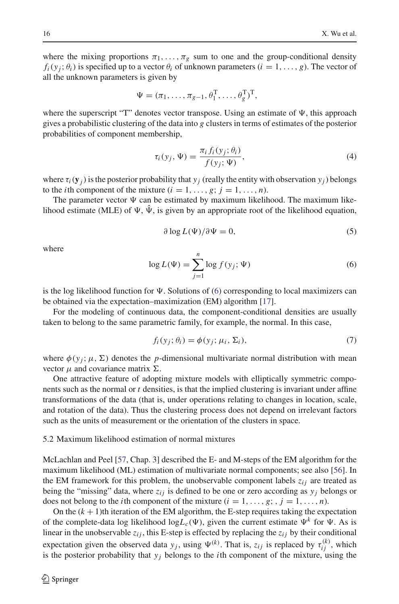where the mixing proportions  $\pi_1, \ldots, \pi_g$  sum to one and the group-conditional density  $f_i(y_i; \theta_i)$  is specified up to a vector  $\theta_i$  of unknown parameters  $(i = 1, \ldots, g)$ . The vector of all the unknown parameters is given by

$$
\Psi = (\pi_1, \ldots, \pi_{g-1}, \theta_1^{\mathrm{T}}, \ldots, \theta_g^{\mathrm{T}})^{\mathrm{T}},
$$

where the superscript "T" denotes vector transpose. Using an estimate of  $\Psi$ , this approach gives a probabilistic clustering of the data into *g* clusters in terms of estimates of the posterior probabilities of component membership,

$$
\tau_i(y_j, \Psi) = \frac{\pi_i f_i(y_j; \theta_i)}{f(y_j; \Psi)},
$$
\n(4)

where  $\tau_i(\mathbf{y}_i)$  is the posterior probability that  $y_i$  (really the entity with observation  $y_i$ ) belongs to the *i*th component of the mixture  $(i = 1, \ldots, g; j = 1, \ldots, n)$ .

The parameter vector  $\Psi$  can be estimated by maximum likelihood. The maximum likelihood estimate (MLE) of  $\Psi$ ,  $\hat{\Psi}$ , is given by an appropriate root of the likelihood equation,

$$
\partial \log L(\Psi)/\partial \Psi = 0,\tag{5}
$$

<span id="page-15-0"></span>where

$$
\log L(\Psi) = \sum_{j=1}^{n} \log f(y_j; \Psi)
$$
\n(6)

is the log likelihood function for  $\Psi$ . Solutions of [\(6\)](#page-15-0) corresponding to local maximizers can be obtained via the expectation–maximization (EM) algorithm [\[17\]](#page-33-4).

For the modeling of continuous data, the component-conditional densities are usually taken to belong to the same parametric family, for example, the normal. In this case,

$$
f_i(y_j; \theta_i) = \phi(y_j; \mu_i, \Sigma_i), \tag{7}
$$

where  $\phi(y_i; \mu, \Sigma)$  denotes the *p*-dimensional multivariate normal distribution with mean vector  $\mu$  and covariance matrix  $\Sigma$ .

One attractive feature of adopting mixture models with elliptically symmetric components such as the normal or *t* densities, is that the implied clustering is invariant under affine transformations of the data (that is, under operations relating to changes in location, scale, and rotation of the data). Thus the clustering process does not depend on irrelevant factors such as the units of measurement or the orientation of the clusters in space.

# 5.2 Maximum likelihood estimation of normal mixtures

McLachlan and Peel [\[57](#page-35-10), Chap. 3] described the E- and M-steps of the EM algorithm for the maximum likelihood (ML) estimation of multivariate normal components; see also [\[56](#page-35-11)]. In the EM framework for this problem, the unobservable component labels  $z_{ij}$  are treated as being the "missing" data, where  $z_{ij}$  is defined to be one or zero according as  $y_j$  belongs or does not belong to the *i*th component of the mixture  $(i = 1, \ldots, g;$ ,  $j = 1, \ldots, n$ ).

On the  $(k + 1)$ th iteration of the EM algorithm, the E-step requires taking the expectation of the complete-data log likelihood  $logL_c(\Psi)$ , given the current estimate  $\Psi^k$  for  $\Psi$ . As is linear in the unobservable  $z_{ij}$ , this E-step is effected by replacing the  $z_{ij}$  by their conditional expectation given the observed data  $y_j$ , using  $\Psi^{(k)}$ . That is,  $z_{ij}$  is replaced by  $\tau_{ij}^{(k)}$ , which is the posterior probability that  $y_i$  belongs to the *i*th component of the mixture, using the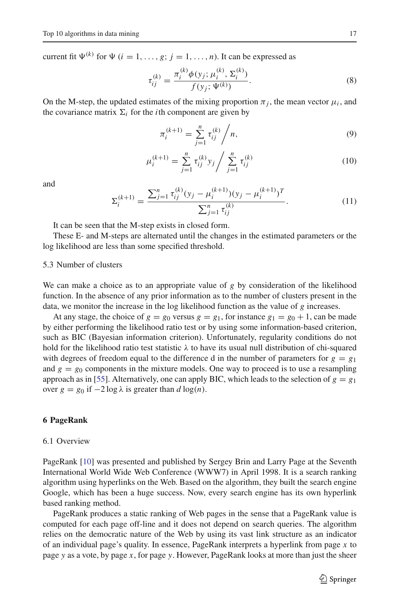current fit  $\Psi^{(k)}$  for  $\Psi$  (*i* = 1, ..., *g*; *j* = 1, ..., *n*). It can be expressed as

$$
\tau_{ij}^{(k)} = \frac{\pi_i^{(k)} \phi(y_j; \mu_i^{(k)}, \Sigma_i^{(k)})}{f(y_j; \Psi^{(k)})}.
$$
\n(8)

On the M-step, the updated estimates of the mixing proportion  $\pi_i$ , the mean vector  $\mu_i$ , and the covariance matrix  $\Sigma_i$  for the *i*th component are given by

$$
\pi_i^{(k+1)} = \sum_{j=1}^n \tau_{ij}^{(k)} / n,\tag{9}
$$

$$
\mu_i^{(k+1)} = \sum_{j=1}^n \tau_{ij}^{(k)} y_j / \sum_{j=1}^n \tau_{ij}^{(k)}
$$
\n(10)

and

$$
\Sigma_i^{(k+1)} = \frac{\sum_{j=1}^n \tau_{ij}^{(k)} (y_j - \mu_i^{(k+1)}) (y_j - \mu_i^{(k+1)})^T}{\sum_{j=1}^n \tau_{ij}^{(k)}}.
$$
\n(11)

It can be seen that the M-step exists in closed form.

These E- and M-steps are alternated until the changes in the estimated parameters or the log likelihood are less than some specified threshold.

# 5.3 Number of clusters

We can make a choice as to an appropriate value of *g* by consideration of the likelihood function. In the absence of any prior information as to the number of clusters present in the data, we monitor the increase in the log likelihood function as the value of *g* increases.

At any stage, the choice of  $g = g_0$  versus  $g = g_1$ , for instance  $g_1 = g_0 + 1$ , can be made by either performing the likelihood ratio test or by using some information-based criterion, such as BIC (Bayesian information criterion). Unfortunately, regularity conditions do not hold for the likelihood ratio test statistic  $\lambda$  to have its usual null distribution of chi-squared with degrees of freedom equal to the difference d in the number of parameters for  $g = g_1$ and  $g = g_0$  components in the mixture models. One way to proceed is to use a resampling approach as in [\[55\]](#page-35-12). Alternatively, one can apply BIC, which leads to the selection of  $g = g_1$ over  $g = g_0$  if  $-2 \log \lambda$  is greater than  $d \log(n)$ .

# **6 PageRank**

#### 6.1 Overview

PageRank [\[10\]](#page-33-5) was presented and published by Sergey Brin and Larry Page at the Seventh International World Wide Web Conference (WWW7) in April 1998. It is a search ranking algorithm using hyperlinks on the Web. Based on the algorithm, they built the search engine Google, which has been a huge success. Now, every search engine has its own hyperlink based ranking method.

PageRank produces a static ranking of Web pages in the sense that a PageRank value is computed for each page off-line and it does not depend on search queries. The algorithm relies on the democratic nature of the Web by using its vast link structure as an indicator of an individual page's quality. In essence, PageRank interprets a hyperlink from page *x* to page *y* as a vote, by page *x*, for page *y*. However, PageRank looks at more than just the sheer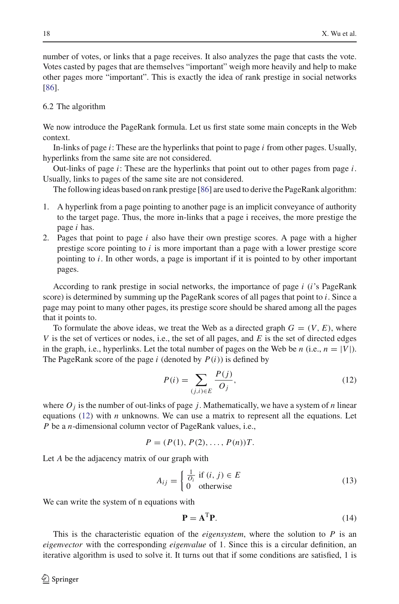number of votes, or links that a page receives. It also analyzes the page that casts the vote. Votes casted by pages that are themselves "important" weigh more heavily and help to make other pages more "important". This is exactly the idea of rank prestige in social networks [\[86\]](#page-36-2).

# 6.2 The algorithm

We now introduce the PageRank formula. Let us first state some main concepts in the Web context.

In-links of page *i*: These are the hyperlinks that point to page *i* from other pages. Usually, hyperlinks from the same site are not considered.

Out-links of page *i*: These are the hyperlinks that point out to other pages from page *i*. Usually, links to pages of the same site are not considered.

The following ideas based on rank prestige [\[86](#page-36-2)] are used to derive the PageRank algorithm:

- 1. A hyperlink from a page pointing to another page is an implicit conveyance of authority to the target page. Thus, the more in-links that a page i receives, the more prestige the page *i* has.
- 2. Pages that point to page *i* also have their own prestige scores. A page with a higher prestige score pointing to *i* is more important than a page with a lower prestige score pointing to *i*. In other words, a page is important if it is pointed to by other important pages.

According to rank prestige in social networks, the importance of page *i* (*i*'s PageRank score) is determined by summing up the PageRank scores of all pages that point to *i*. Since a page may point to many other pages, its prestige score should be shared among all the pages that it points to.

To formulate the above ideas, we treat the Web as a directed graph  $G = (V, E)$ , where *V* is the set of vertices or nodes, i.e., the set of all pages, and *E* is the set of directed edges in the graph, i.e., hyperlinks. Let the total number of pages on the Web be *n* (i.e.,  $n = |V|$ ). The PageRank score of the page  $i$  (denoted by  $P(i)$ ) is defined by

<span id="page-17-0"></span>
$$
P(i) = \sum_{(j,i)\in E} \frac{P(j)}{O_j},\tag{12}
$$

where  $O_i$  is the number of out-links of page *j*. Mathematically, we have a system of *n* linear equations  $(12)$  with *n* unknowns. We can use a matrix to represent all the equations. Let *P* be a *n*-dimensional column vector of PageRank values, i.e.,

$$
P = (P(1), P(2), \ldots, P(n))T.
$$

Let *A* be the adjacency matrix of our graph with

<span id="page-17-1"></span>
$$
A_{ij} = \begin{cases} \frac{1}{O_i} & \text{if } (i, j) \in E \\ 0 & \text{otherwise} \end{cases}
$$
 (13)

We can write the system of n equations with

$$
\mathbf{P} = \mathbf{A}^{\mathrm{T}} \mathbf{P}.\tag{14}
$$

This is the characteristic equation of the *eigensystem*, where the solution to *P* is an *eigenvector* with the corresponding *eigenvalue* of 1. Since this is a circular definition, an iterative algorithm is used to solve it. It turns out that if some conditions are satisfied, 1 is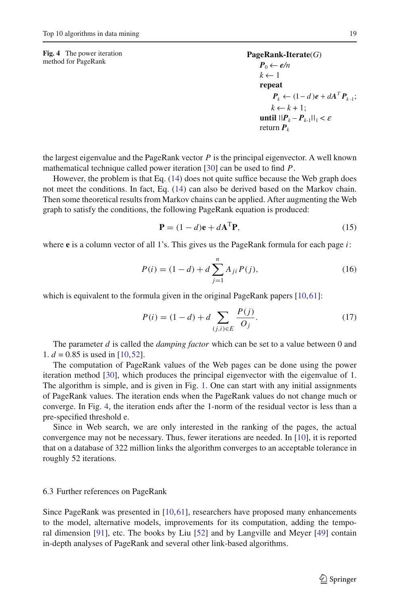<span id="page-18-0"></span>**Fig. 4** The power iteration method for PageRank

**PageRank-Iterate**(*G*)  $P_0 \leftarrow e/n$  $k \leftarrow 1$ **repeat**   $P_k \leftarrow (1-d)e + dA^T P_{k-1};$  $k \leftarrow k + 1$ : **until**  $||P_k - P_{k-1}||_1 < \varepsilon$ return *P<sup>k</sup>*

the largest eigenvalue and the PageRank vector *P* is the principal eigenvector. A well known mathematical technique called power iteration [\[30\]](#page-34-8) can be used to find *P*.

However, the problem is that Eq. [\(14\)](#page-17-1) does not quite suffice because the Web graph does not meet the conditions. In fact, Eq. [\(14\)](#page-17-1) can also be derived based on the Markov chain. Then some theoretical results from Markov chains can be applied. After augmenting the Web graph to satisfy the conditions, the following PageRank equation is produced:

$$
\mathbf{P} = (1 - d)\mathbf{e} + d\mathbf{A}^{\mathrm{T}}\mathbf{P},\tag{15}
$$

where **e** is a column vector of all 1's. This gives us the PageRank formula for each page *i*:

$$
P(i) = (1 - d) + d \sum_{j=1}^{n} A_{ji} P(j),
$$
\n(16)

which is equivalent to the formula given in the original PageRank papers [\[10](#page-33-5),[61](#page-35-13)]:

$$
P(i) = (1 - d) + d \sum_{(j,i) \in E} \frac{P(j)}{O_j}.
$$
 (17)

The parameter *d* is called the *damping factor* which can be set to a value between 0 and 1. *d* = 0.85 is used in [\[10](#page-33-5)[,52](#page-35-14)].

The computation of PageRank values of the Web pages can be done using the power iteration method [\[30](#page-34-8)], which produces the principal eigenvector with the eigenvalue of 1. The algorithm is simple, and is given in Fig. [1.](#page-6-0) One can start with any initial assignments of PageRank values. The iteration ends when the PageRank values do not change much or converge. In Fig. [4,](#page-18-0) the iteration ends after the 1-norm of the residual vector is less than a pre-specified threshold e.

Since in Web search, we are only interested in the ranking of the pages, the actual convergence may not be necessary. Thus, fewer iterations are needed. In [\[10\]](#page-33-5), it is reported that on a database of 322 million links the algorithm converges to an acceptable tolerance in roughly 52 iterations.

#### 6.3 Further references on PageRank

Since PageRank was presented in [\[10](#page-33-5),[61](#page-35-13)], researchers have proposed many enhancements to the model, alternative models, improvements for its computation, adding the temporal dimension [\[91\]](#page-36-3), etc. The books by Liu [\[52](#page-35-14)] and by Langville and Meyer [\[49\]](#page-34-9) contain in-depth analyses of PageRank and several other link-based algorithms.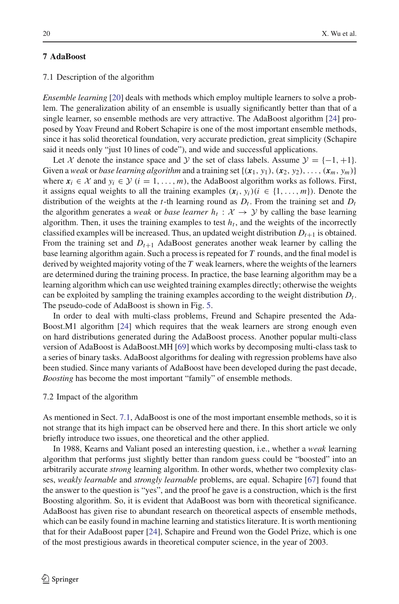# <span id="page-19-0"></span>**7 AdaBoost**

# 7.1 Description of the algorithm

*Ensemble learning* [\[20](#page-34-10)] deals with methods which employ multiple learners to solve a problem. The generalization ability of an ensemble is usually significantly better than that of a single learner, so ensemble methods are very attractive. The AdaBoost algorithm [\[24](#page-34-1)] proposed by Yoav Freund and Robert Schapire is one of the most important ensemble methods, since it has solid theoretical foundation, very accurate prediction, great simplicity (Schapire said it needs only "just 10 lines of code"), and wide and successful applications.

Let *X* denote the instance space and *Y* the set of class labels. Assume  $\mathcal{Y} = \{-1, +1\}$ . Given a *weak* or *base learning algorithm* and a training set  $\{(x_1, y_1), (x_2, y_2), \ldots, (x_m, y_m)\}$ where  $x_i \in \mathcal{X}$  and  $y_i \in \mathcal{Y}$  ( $i = 1, \ldots, m$ ), the AdaBoost algorithm works as follows. First, it assigns equal weights to all the training examples  $(x_i, y_i)$  ( $i \in \{1, \ldots, m\}$ ). Denote the distribution of the weights at the *t*-th learning round as  $D_t$ . From the training set and  $D_t$ the algorithm generates a *weak* or *base learner*  $h_t : \mathcal{X} \to \mathcal{Y}$  by calling the base learning algorithm. Then, it uses the training examples to test  $h_t$ , and the weights of the incorrectly classified examples will be increased. Thus, an updated weight distribution  $D_{t+1}$  is obtained. From the training set and  $D_{t+1}$  AdaBoost generates another weak learner by calling the base learning algorithm again. Such a process is repeated for *T* rounds, and the final model is derived by weighted majority voting of the *T* weak learners, where the weights of the learners are determined during the training process. In practice, the base learning algorithm may be a learning algorithm which can use weighted training examples directly; otherwise the weights can be exploited by sampling the training examples according to the weight distribution  $D_t$ . The pseudo-code of AdaBoost is shown in Fig. [5.](#page-20-0)

In order to deal with multi-class problems, Freund and Schapire presented the Ada-Boost.M1 algorithm [\[24\]](#page-34-1) which requires that the weak learners are strong enough even on hard distributions generated during the AdaBoost process. Another popular multi-class version of AdaBoost is AdaBoost.MH [\[69](#page-35-15)] which works by decomposing multi-class task to a series of binary tasks. AdaBoost algorithms for dealing with regression problems have also been studied. Since many variants of AdaBoost have been developed during the past decade, *Boosting* has become the most important "family" of ensemble methods.

# 7.2 Impact of the algorithm

As mentioned in Sect. [7.1,](#page-19-0) AdaBoost is one of the most important ensemble methods, so it is not strange that its high impact can be observed here and there. In this short article we only briefly introduce two issues, one theoretical and the other applied.

In 1988, Kearns and Valiant posed an interesting question, i.e., whether a *weak* learning algorithm that performs just slightly better than random guess could be "boosted" into an arbitrarily accurate *strong* learning algorithm. In other words, whether two complexity classes, *weakly learnable* and *strongly learnable* problems, are equal. Schapire [\[67](#page-35-16)] found that the answer to the question is "yes", and the proof he gave is a construction, which is the first Boosting algorithm. So, it is evident that AdaBoost was born with theoretical significance. AdaBoost has given rise to abundant research on theoretical aspects of ensemble methods, which can be easily found in machine learning and statistics literature. It is worth mentioning that for their AdaBoost paper [\[24\]](#page-34-1), Schapire and Freund won the Godel Prize, which is one of the most prestigious awards in theoretical computer science, in the year of 2003.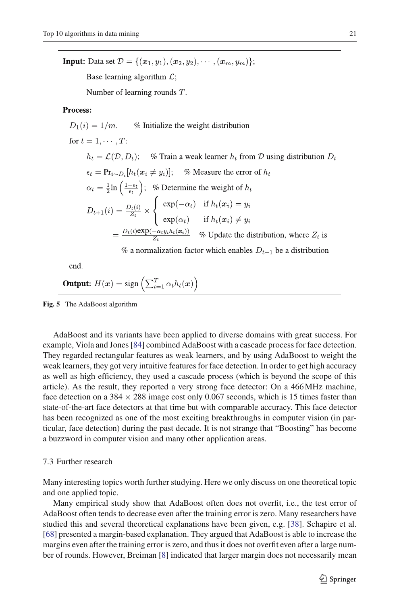**Input:** Data set  $\mathcal{D} = \{(\mathbf{x}_1, y_1), (\mathbf{x}_2, y_2), \cdots, (\mathbf{x}_m, y_m)\};$ 

Base learning algorithm  $\mathcal{L}$ ;

Number of learning rounds  $T$ .

#### Process:

 $D_1(i) = 1/m.$ % Initialize the weight distribution for  $t = 1, \dots, T$ :  $h_t = \mathcal{L}(\mathcal{D}, D_t);$  % Train a weak learner  $h_t$  from  $\mathcal D$  using distribution  $D_t$  $\epsilon_t = \Pr_{i \sim D_i} [h_t(x_i \neq y_i)];$  % Measure the error of  $h_t$  $\alpha_t = \frac{1}{2} \ln \left( \frac{1-\epsilon_t}{\epsilon_t} \right)$ ; % Determine the weight of  $h_t$  $D_{t+1}(i) = \frac{D_t(i)}{Z_t} \times \begin{cases} \exp(-\alpha_t) & \text{if } h_t(\boldsymbol{x}_i) = y_i \\ \exp(\alpha_t) & \text{if } h_t(\boldsymbol{x}_i) \neq y_i \\ = \frac{D_t(i) \exp(-\alpha_t y_i h_t(\boldsymbol{x}_i))}{Z_t} & \text{% Update the distribution, where } Z_t \text{ is } \end{cases}$ 

% a normalization factor which enables  $D_{t+1}$  be a distribution

end.

**Output:** 
$$
H(x) = sign\left(\sum_{t=1}^{T} \alpha_t h_t(x)\right)
$$

<span id="page-20-0"></span>**Fig. 5** The AdaBoost algorithm

AdaBoost and its variants have been applied to diverse domains with great success. For example, Viola and Jones [\[84](#page-35-17)] combined AdaBoost with a cascade process for face detection. They regarded rectangular features as weak learners, and by using AdaBoost to weight the weak learners, they got very intuitive features for face detection. In order to get high accuracy as well as high efficiency, they used a cascade process (which is beyond the scope of this article). As the result, they reported a very strong face detector: On a 466 MHz machine, face detection on a 384  $\times$  288 image cost only 0.067 seconds, which is 15 times faster than state-of-the-art face detectors at that time but with comparable accuracy. This face detector has been recognized as one of the most exciting breakthroughs in computer vision (in particular, face detection) during the past decade. It is not strange that "Boosting" has become a buzzword in computer vision and many other application areas.

# 7.3 Further research

Many interesting topics worth further studying. Here we only discuss on one theoretical topic and one applied topic.

Many empirical study show that AdaBoost often does not overfit, i.e., the test error of AdaBoost often tends to decrease even after the training error is zero. Many researchers have studied this and several theoretical explanations have been given, e.g. [\[38\]](#page-34-11). Schapire et al. [\[68\]](#page-35-18) presented a margin-based explanation. They argued that AdaBoost is able to increase the margins even after the training error is zero, and thus it does not overfit even after a large number of rounds. However, Breiman [\[8\]](#page-33-6) indicated that larger margin does not necessarily mean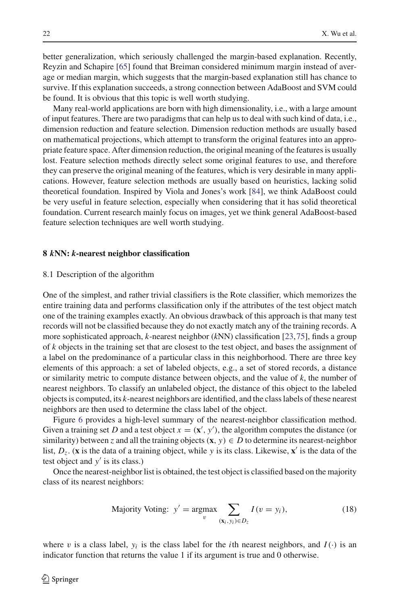better generalization, which seriously challenged the margin-based explanation. Recently, Reyzin and Schapire [\[65\]](#page-35-19) found that Breiman considered minimum margin instead of average or median margin, which suggests that the margin-based explanation still has chance to survive. If this explanation succeeds, a strong connection between AdaBoost and SVM could be found. It is obvious that this topic is well worth studying.

Many real-world applications are born with high dimensionality, i.e., with a large amount of input features. There are two paradigms that can help us to deal with such kind of data, i.e., dimension reduction and feature selection. Dimension reduction methods are usually based on mathematical projections, which attempt to transform the original features into an appropriate feature space. After dimension reduction, the original meaning of the features is usually lost. Feature selection methods directly select some original features to use, and therefore they can preserve the original meaning of the features, which is very desirable in many applications. However, feature selection methods are usually based on heuristics, lacking solid theoretical foundation. Inspired by Viola and Jones's work [\[84\]](#page-35-17), we think AdaBoost could be very useful in feature selection, especially when considering that it has solid theoretical foundation. Current research mainly focus on images, yet we think general AdaBoost-based feature selection techniques are well worth studying.

### **8** *k***NN:** *k***-nearest neighbor classification**

#### 8.1 Description of the algorithm

One of the simplest, and rather trivial classifiers is the Rote classifier, which memorizes the entire training data and performs classification only if the attributes of the test object match one of the training examples exactly. An obvious drawback of this approach is that many test records will not be classified because they do not exactly match any of the training records. A more sophisticated approach, *k*-nearest neighbor (*k*NN) classification [\[23](#page-34-12),[75](#page-35-20)], finds a group of *k* objects in the training set that are closest to the test object, and bases the assignment of a label on the predominance of a particular class in this neighborhood. There are three key elements of this approach: a set of labeled objects, e.g., a set of stored records, a distance or similarity metric to compute distance between objects, and the value of *k*, the number of nearest neighbors. To classify an unlabeled object, the distance of this object to the labeled objects is computed, its *k*-nearest neighbors are identified, and the class labels of these nearest neighbors are then used to determine the class label of the object.

Figure [6](#page-22-0) provides a high-level summary of the nearest-neighbor classification method. Given a training set *D* and a test object  $x = (\mathbf{x}', y')$ , the algorithm computes the distance (or similarity) between *z* and all the training objects  $(\mathbf{x}, y) \in D$  to determine its nearest-neighbor list,  $D_z$ . (**x** is the data of a training object, while *y* is its class. Likewise, **x** is the data of the test object and *y* is its class.)

Once the nearest-neighbor list is obtained, the test object is classified based on the majority class of its nearest neighbors:

Majority Voting: 
$$
y' = \underset{v}{\text{argmax}} \sum_{(\mathbf{x}_i, y_i) \in D_z} I(v = y_i),
$$
 (18)

where v is a class label,  $y_i$  is the class label for the *i*th nearest neighbors, and  $I(\cdot)$  is an indicator function that returns the value 1 if its argument is true and 0 otherwise.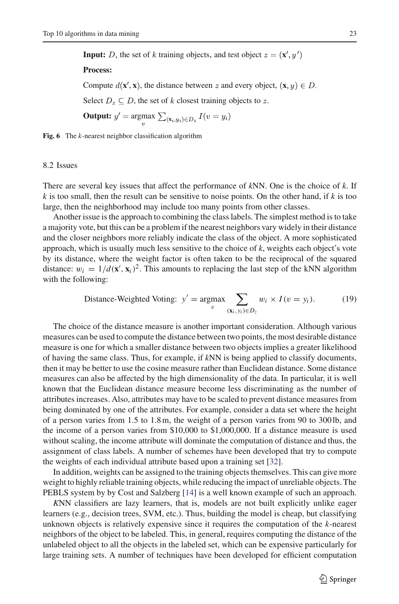**Input:** D, the set of k training objects, and test object  $z = (\mathbf{x}', y')$ 

#### **Process:**

Compute  $d(\mathbf{x}', \mathbf{x})$ , the distance between z and every object,  $(\mathbf{x}, y) \in D$ . Select  $D_z \subseteq D$ , the set of k closest training objects to z.

**Output:** 
$$
y' = \underset{y}{\text{argmax}} \sum_{(\mathbf{x}_i, y_i) \in D_z} I(v = y_i)
$$

<span id="page-22-0"></span>**Fig. 6** The *k*-nearest neighbor classification algorithm

### 8.2 Issues

There are several key issues that affect the performance of *k*NN. One is the choice of *k*. If *k* is too small, then the result can be sensitive to noise points. On the other hand, if *k* is too large, then the neighborhood may include too many points from other classes.

Another issue is the approach to combining the class labels. The simplest method is to take a majority vote, but this can be a problem if the nearest neighbors vary widely in their distance and the closer neighbors more reliably indicate the class of the object. A more sophisticated approach, which is usually much less sensitive to the choice of *k*, weights each object's vote by its distance, where the weight factor is often taken to be the reciprocal of the squared distance:  $w_i = 1/d(\mathbf{x}', \mathbf{x}_i)^2$ . This amounts to replacing the last step of the kNN algorithm with the following:

Distance-Weighted Voting: 
$$
y' = \underset{v}{\text{argmax}} \sum_{(\mathbf{x}_i, y_i) \in D_z} w_i \times I(v = y_i).
$$
 (19)

The choice of the distance measure is another important consideration. Although various measures can be used to compute the distance between two points, the most desirable distance measure is one for which a smaller distance between two objects implies a greater likelihood of having the same class. Thus, for example, if *k*NN is being applied to classify documents, then it may be better to use the cosine measure rather than Euclidean distance. Some distance measures can also be affected by the high dimensionality of the data. In particular, it is well known that the Euclidean distance measure become less discriminating as the number of attributes increases. Also, attributes may have to be scaled to prevent distance measures from being dominated by one of the attributes. For example, consider a data set where the height of a person varies from 1.5 to 1.8 m, the weight of a person varies from 90 to 300 lb, and the income of a person varies from \$10,000 to \$1,000,000. If a distance measure is used without scaling, the income attribute will dominate the computation of distance and thus, the assignment of class labels. A number of schemes have been developed that try to compute the weights of each individual attribute based upon a training set [\[32](#page-34-13)].

In addition, weights can be assigned to the training objects themselves. This can give more weight to highly reliable training objects, while reducing the impact of unreliable objects. The PEBLS system by by Cost and Salzberg [\[14\]](#page-33-7) is a well known example of such an approach.

*K*NN classifiers are lazy learners, that is, models are not built explicitly unlike eager learners (e.g., decision trees, SVM, etc.). Thus, building the model is cheap, but classifying unknown objects is relatively expensive since it requires the computation of the *k*-nearest neighbors of the object to be labeled. This, in general, requires computing the distance of the unlabeled object to all the objects in the labeled set, which can be expensive particularly for large training sets. A number of techniques have been developed for efficient computation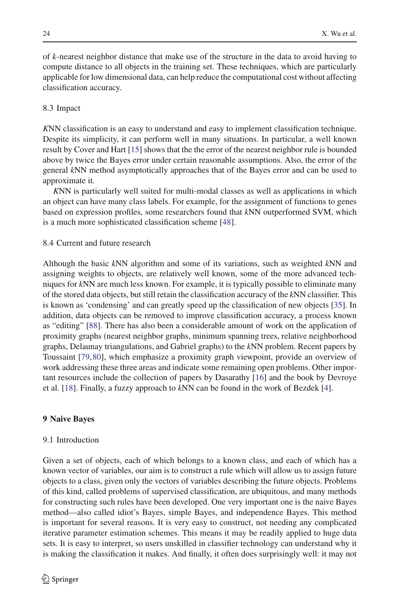of *k*-nearest neighbor distance that make use of the structure in the data to avoid having to compute distance to all objects in the training set. These techniques, which are particularly applicable for low dimensional data, can help reduce the computational cost without affecting classification accuracy.

# 8.3 Impact

*K*NN classification is an easy to understand and easy to implement classification technique. Despite its simplicity, it can perform well in many situations. In particular, a well known result by Cover and Hart [\[15\]](#page-33-8) shows that the the error of the nearest neighbor rule is bounded above by twice the Bayes error under certain reasonable assumptions. Also, the error of the general *k*NN method asymptotically approaches that of the Bayes error and can be used to approximate it.

*K*NN is particularly well suited for multi-modal classes as well as applications in which an object can have many class labels. For example, for the assignment of functions to genes based on expression profiles, some researchers found that *k*NN outperformed SVM, which is a much more sophisticated classification scheme [\[48\]](#page-34-14).

# 8.4 Current and future research

Although the basic *k*NN algorithm and some of its variations, such as weighted *k*NN and assigning weights to objects, are relatively well known, some of the more advanced techniques for *k*NN are much less known. For example, it is typically possible to eliminate many of the stored data objects, but still retain the classification accuracy of the *k*NN classifier. This is known as 'condensing' and can greatly speed up the classification of new objects [\[35](#page-34-15)]. In addition, data objects can be removed to improve classification accuracy, a process known as "editing" [\[88\]](#page-36-4). There has also been a considerable amount of work on the application of proximity graphs (nearest neighbor graphs, minimum spanning trees, relative neighborhood graphs, Delaunay triangulations, and Gabriel graphs) to the *k*NN problem. Recent papers by Toussaint [\[79](#page-35-21)[,80](#page-35-22)], which emphasize a proximity graph viewpoint, provide an overview of work addressing these three areas and indicate some remaining open problems. Other important resources include the collection of papers by Dasarathy [\[16\]](#page-33-9) and the book by Devroye et al. [\[18\]](#page-34-16). Finally, a fuzzy approach to *k*NN can be found in the work of Bezdek [\[4\]](#page-33-10).

# **9 Naive Bayes**

# 9.1 Introduction

Given a set of objects, each of which belongs to a known class, and each of which has a known vector of variables, our aim is to construct a rule which will allow us to assign future objects to a class, given only the vectors of variables describing the future objects. Problems of this kind, called problems of supervised classification, are ubiquitous, and many methods for constructing such rules have been developed. One very important one is the naive Bayes method—also called idiot's Bayes, simple Bayes, and independence Bayes. This method is important for several reasons. It is very easy to construct, not needing any complicated iterative parameter estimation schemes. This means it may be readily applied to huge data sets. It is easy to interpret, so users unskilled in classifier technology can understand why it is making the classification it makes. And finally, it often does surprisingly well: it may not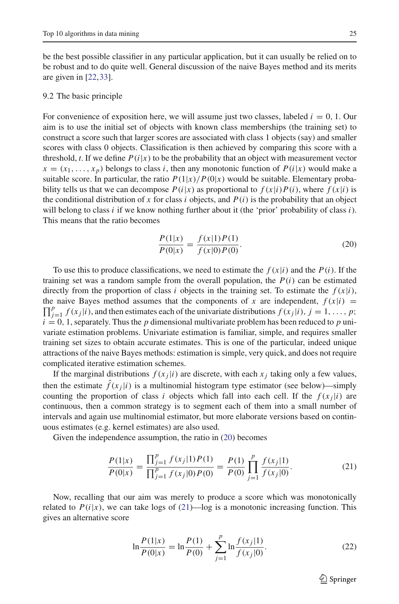be the best possible classifier in any particular application, but it can usually be relied on to be robust and to do quite well. General discussion of the naive Bayes method and its merits are given in [\[22](#page-34-17),[33](#page-34-18)].

#### 9.2 The basic principle

For convenience of exposition here, we will assume just two classes, labeled  $i = 0, 1$ . Our aim is to use the initial set of objects with known class memberships (the training set) to construct a score such that larger scores are associated with class 1 objects (say) and smaller scores with class 0 objects. Classification is then achieved by comparing this score with a threshold, *t*. If we define  $P(i|x)$  to be the probability that an object with measurement vector  $x = (x_1, \ldots, x_p)$  belongs to class *i*, then any monotonic function of  $P(i|x)$  would make a suitable score. In particular, the ratio  $P(1|x)/P(0|x)$  would be suitable. Elementary probability tells us that we can decompose  $P(i|x)$  as proportional to  $f(x|i)P(i)$ , where  $f(x|i)$  is the conditional distribution of *x* for class *i* objects, and  $P(i)$  is the probability that an object will belong to class *i* if we know nothing further about it (the 'prior' probability of class *i*). This means that the ratio becomes

<span id="page-24-0"></span>
$$
\frac{P(1|x)}{P(0|x)} = \frac{f(x|1)P(1)}{f(x|0)P(0)}.\t(20)
$$

To use this to produce classifications, we need to estimate the  $f(x|i)$  and the  $P(i)$ . If the training set was a random sample from the overall population, the  $P(i)$  can be estimated directly from the proportion of class *i* objects in the training set. To estimate the  $f(x|i)$ , the naive Bayes method assumes that the components of x are independent,  $f(x|i)$  = the naive Bayes method assumes that the components of x are independent,  $f(x|i) = \prod_{j=1}^{p} f(x_j|i)$ , and then estimates each of the univariate distributions  $f(x_j|i)$ ,  $j = 1, ..., p$ ;  $i = 0, 1$ , separately. Thus the *p* dimensional multivariate problem has been reduced to *p* univariate estimation problems. Univariate estimation is familiar, simple, and requires smaller training set sizes to obtain accurate estimates. This is one of the particular, indeed unique attractions of the naive Bayes methods: estimation is simple, very quick, and does not require complicated iterative estimation schemes.

If the marginal distributions  $f(x_j|i)$  are discrete, with each  $x_j$  taking only a few values, then the estimate  $f(x_i|i)$  is a multinomial histogram type estimator (see below)—simply counting the proportion of class *i* objects which fall into each cell. If the  $f(x_i|i)$  are continuous, then a common strategy is to segment each of them into a small number of intervals and again use multinomial estimator, but more elaborate versions based on continuous estimates (e.g. kernel estimates) are also used.

Given the independence assumption, the ratio in [\(20\)](#page-24-0) becomes

<span id="page-24-1"></span>
$$
\frac{P(1|x)}{P(0|x)} = \frac{\prod_{j=1}^{p} f(x_j|1)P(1)}{\prod_{j=1}^{p} f(x_j|0)P(0)} = \frac{P(1)}{P(0)} \prod_{j=1}^{p} \frac{f(x_j|1)}{f(x_j|0)}.
$$
\n(21)

<span id="page-24-2"></span>Now, recalling that our aim was merely to produce a score which was monotonically related to  $P(i|x)$ , we can take logs of [\(21\)](#page-24-1)—log is a monotonic increasing function. This gives an alternative score

$$
\ln \frac{P(1|x)}{P(0|x)} = \ln \frac{P(1)}{P(0)} + \sum_{j=1}^{p} \ln \frac{f(x_j|1)}{f(x_j|0)}.
$$
 (22)

 $\circled{2}$  Springer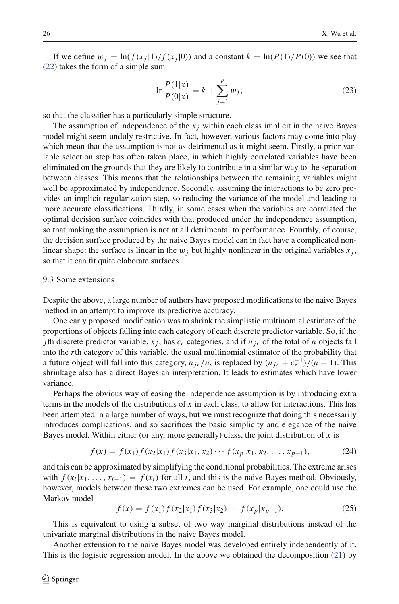If we define  $w_j = \ln(f(x_j|1)/f(x_j|0))$  and a constant  $k = \ln(P(1)/P(0))$  we see that [\(22\)](#page-24-2) takes the form of a simple sum

<span id="page-25-0"></span>
$$
\ln \frac{P(1|x)}{P(0|x)} = k + \sum_{j=1}^{p} w_j,
$$
\n(23)

so that the classifier has a particularly simple structure.

The assumption of independence of the  $x_j$  within each class implicit in the naive Bayes model might seem unduly restrictive. In fact, however, various factors may come into play which mean that the assumption is not as detrimental as it might seem. Firstly, a prior variable selection step has often taken place, in which highly correlated variables have been eliminated on the grounds that they are likely to contribute in a similar way to the separation between classes. This means that the relationships between the remaining variables might well be approximated by independence. Secondly, assuming the interactions to be zero provides an implicit regularization step, so reducing the variance of the model and leading to more accurate classifications. Thirdly, in some cases when the variables are correlated the optimal decision surface coincides with that produced under the independence assumption, so that making the assumption is not at all detrimental to performance. Fourthly, of course, the decision surface produced by the naive Bayes model can in fact have a complicated nonlinear shape: the surface is linear in the  $w_j$  but highly nonlinear in the original variables  $x_j$ , so that it can fit quite elaborate surfaces.

### 9.3 Some extensions

Despite the above, a large number of authors have proposed modifications to the naive Bayes method in an attempt to improve its predictive accuracy.

One early proposed modification was to shrink the simplistic multinomial estimate of the proportions of objects falling into each category of each discrete predictor variable. So, if the *j*th discrete predictor variable,  $x_j$ , has  $c_r$  categories, and if  $n_{jr}$  of the total of *n* objects fall into the *r*th category of this variable, the usual multinomial estimator of the probability that a future object will fall into this category,  $n_{jr}/n$ , is replaced by  $(n_{jr} + c_r^{-1})/(n + 1)$ . This shrinkage also has a direct Bayesian interpretation. It leads to estimates which have lower variance.

Perhaps the obvious way of easing the independence assumption is by introducing extra terms in the models of the distributions of *x* in each class, to allow for interactions. This has been attempted in a large number of ways, but we must recognize that doing this necessarily introduces complications, and so sacrifices the basic simplicity and elegance of the naive Bayes model. Within either (or any, more generally) class, the joint distribution of *x* is

$$
f(x) = f(x_1) f(x_2|x_1) f(x_3|x_1, x_2) \cdots f(x_p|x_1, x_2, \ldots, x_{p-1}),
$$
\n(24)

and this can be approximated by simplifying the conditional probabilities. The extreme arises with  $f(x_i|x_1,\ldots,x_{i-1}) = f(x_i)$  for all *i*, and this is the naive Bayes method. Obviously, however, models between these two extremes can be used. For example, one could use the Markov model

$$
f(x) = f(x_1)f(x_2|x_1)f(x_3|x_2)\cdots f(x_p|x_{p-1}).
$$
\n(25)

This is equivalent to using a subset of two way marginal distributions instead of the univariate marginal distributions in the naive Bayes model.

Another extension to the naive Bayes model was developed entirely independently of it. This is the logistic regression model. In the above we obtained the decomposition [\(21\)](#page-24-1) by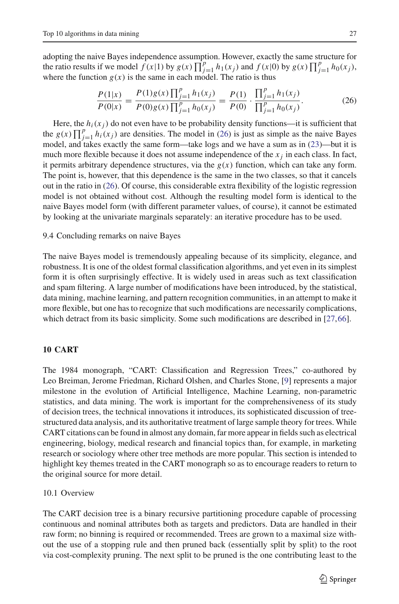adopting the naive Bayes independence assumption. However, exactly the same structure for the ratio results if we model  $f(x|1)$  by  $g(x)$   $\prod_{j=1}^{p} h_1(x_j)$  and  $f(x|0)$  by  $g(x)$   $\prod_{j=1}^{p} h_0(x_j)$ , where the function  $g(x)$  is the same in each model. The ratio is thus

<span id="page-26-0"></span>
$$
\frac{P(1|x)}{P(0|x)} = \frac{P(1)g(x)\prod_{j=1}^p h_1(x_j)}{P(0)g(x)\prod_{j=1}^p h_0(x_j)} = \frac{P(1)}{P(0)} \cdot \frac{\prod_{j=1}^p h_1(x_j)}{\prod_{j=1}^p h_0(x_j)}.
$$
(26)

Here, the  $h_i(x_i)$  do not even have to be probability density functions—it is sufficient that the  $g(x)$   $\prod_{j=1}^{p} h_i(x_j)$  are densities. The model in [\(26\)](#page-26-0) is just as simple as the naive Bayes model, and takes exactly the same form—take logs and we have a sum as in [\(23\)](#page-25-0)—but it is much more flexible because it does not assume independence of the  $x_j$  in each class. In fact, it permits arbitrary dependence structures, via the  $g(x)$  function, which can take any form. The point is, however, that this dependence is the same in the two classes, so that it cancels out in the ratio in [\(26\)](#page-26-0). Of course, this considerable extra flexibility of the logistic regression model is not obtained without cost. Although the resulting model form is identical to the naive Bayes model form (with different parameter values, of course), it cannot be estimated by looking at the univariate marginals separately: an iterative procedure has to be used.

#### 9.4 Concluding remarks on naive Bayes

The naive Bayes model is tremendously appealing because of its simplicity, elegance, and robustness. It is one of the oldest formal classification algorithms, and yet even in its simplest form it is often surprisingly effective. It is widely used in areas such as text classification and spam filtering. A large number of modifications have been introduced, by the statistical, data mining, machine learning, and pattern recognition communities, in an attempt to make it more flexible, but one has to recognize that such modifications are necessarily complications, which detract from its basic simplicity. Some such modifications are described in [\[27](#page-34-19)[,66\]](#page-35-23).

### **10 CART**

The 1984 monograph, "CART: Classification and Regression Trees," co-authored by Leo Breiman, Jerome Friedman, Richard Olshen, and Charles Stone, [\[9](#page-33-0)] represents a major milestone in the evolution of Artificial Intelligence, Machine Learning, non-parametric statistics, and data mining. The work is important for the comprehensiveness of its study of decision trees, the technical innovations it introduces, its sophisticated discussion of treestructured data analysis, and its authoritative treatment of large sample theory for trees. While CART citations can be found in almost any domain, far more appear in fields such as electrical engineering, biology, medical research and financial topics than, for example, in marketing research or sociology where other tree methods are more popular. This section is intended to highlight key themes treated in the CART monograph so as to encourage readers to return to the original source for more detail.

# 10.1 Overview

The CART decision tree is a binary recursive partitioning procedure capable of processing continuous and nominal attributes both as targets and predictors. Data are handled in their raw form; no binning is required or recommended. Trees are grown to a maximal size without the use of a stopping rule and then pruned back (essentially split by split) to the root via cost-complexity pruning. The next split to be pruned is the one contributing least to the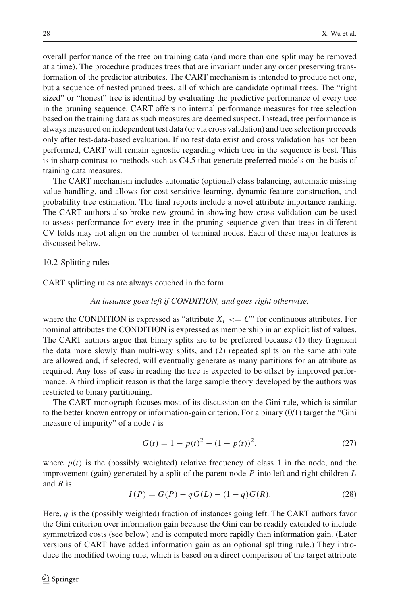overall performance of the tree on training data (and more than one split may be removed at a time). The procedure produces trees that are invariant under any order preserving transformation of the predictor attributes. The CART mechanism is intended to produce not one, but a sequence of nested pruned trees, all of which are candidate optimal trees. The "right sized" or "honest" tree is identified by evaluating the predictive performance of every tree in the pruning sequence. CART offers no internal performance measures for tree selection based on the training data as such measures are deemed suspect. Instead, tree performance is always measured on independent test data (or via cross validation) and tree selection proceeds only after test-data-based evaluation. If no test data exist and cross validation has not been performed, CART will remain agnostic regarding which tree in the sequence is best. This is in sharp contrast to methods such as C4.5 that generate preferred models on the basis of training data measures.

The CART mechanism includes automatic (optional) class balancing, automatic missing value handling, and allows for cost-sensitive learning, dynamic feature construction, and probability tree estimation. The final reports include a novel attribute importance ranking. The CART authors also broke new ground in showing how cross validation can be used to assess performance for every tree in the pruning sequence given that trees in different CV folds may not align on the number of terminal nodes. Each of these major features is discussed below.

#### 10.2 Splitting rules

CART splitting rules are always couched in the form

#### *An instance goes left if CONDITION, and goes right otherwise,*

where the CONDITION is expressed as "attribute  $X_i \leq C$ " for continuous attributes. For nominal attributes the CONDITION is expressed as membership in an explicit list of values. The CART authors argue that binary splits are to be preferred because (1) they fragment the data more slowly than multi-way splits, and (2) repeated splits on the same attribute are allowed and, if selected, will eventually generate as many partitions for an attribute as required. Any loss of ease in reading the tree is expected to be offset by improved performance. A third implicit reason is that the large sample theory developed by the authors was restricted to binary partitioning.

The CART monograph focuses most of its discussion on the Gini rule, which is similar to the better known entropy or information-gain criterion. For a binary (0/1) target the "Gini measure of impurity" of a node *t* is

$$
G(t) = 1 - p(t)^2 - (1 - p(t))^2,
$$
\n(27)

where  $p(t)$  is the (possibly weighted) relative frequency of class 1 in the node, and the improvement (gain) generated by a split of the parent node *P* into left and right children *L* and *R* is

$$
I(P) = G(P) - qG(L) - (1 - q)G(R).
$$
 (28)

Here, *q* is the (possibly weighted) fraction of instances going left. The CART authors favor the Gini criterion over information gain because the Gini can be readily extended to include symmetrized costs (see below) and is computed more rapidly than information gain. (Later versions of CART have added information gain as an optional splitting rule.) They introduce the modified twoing rule, which is based on a direct comparison of the target attribute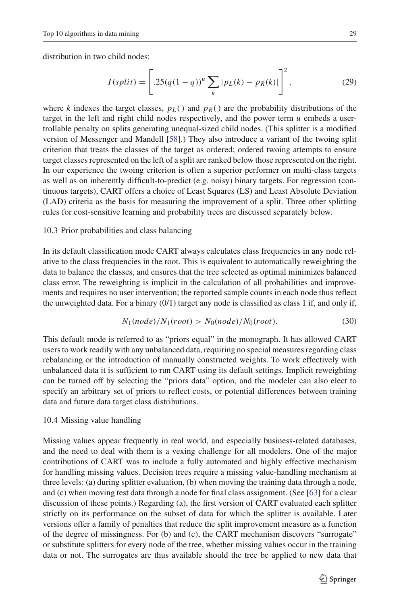distribution in two child nodes:

$$
I(split) = \left[ .25(q(1-q))^u \sum_{k} |p_L(k) - p_R(k)| \right]^2,
$$
 (29)

where *k* indexes the target classes,  $p_L$  () and  $p_R$  () are the probability distributions of the target in the left and right child nodes respectively, and the power term *u* embeds a usertrollable penalty on splits generating unequal-sized child nodes. (This splitter is a modified version of Messenger and Mandell [\[58\]](#page-35-24).) They also introduce a variant of the twoing split criterion that treats the classes of the target as ordered; ordered twoing attempts to ensure target classes represented on the left of a split are ranked below those represented on the right. In our experience the twoing criterion is often a superior performer on multi-class targets as well as on inherently difficult-to-predict (e.g. noisy) binary targets. For regression (continuous targets), CART offers a choice of Least Squares (LS) and Least Absolute Deviation (LAD) criteria as the basis for measuring the improvement of a split. Three other splitting rules for cost-sensitive learning and probability trees are discussed separately below.

#### 10.3 Prior probabilities and class balancing

In its default classification mode CART always calculates class frequencies in any node relative to the class frequencies in the root. This is equivalent to automatically reweighting the data to balance the classes, and ensures that the tree selected as optimal minimizes balanced class error. The reweighting is implicit in the calculation of all probabilities and improvements and requires no user intervention; the reported sample counts in each node thus reflect the unweighted data. For a binary (0/1) target any node is classified as class 1 if, and only if,

$$
N_1(node)/N_1(root) > N_0(node)/N_0(root). \tag{30}
$$

This default mode is referred to as "priors equal" in the monograph. It has allowed CART users to work readily with any unbalanced data, requiring no special measures regarding class rebalancing or the introduction of manually constructed weights. To work effectively with unbalanced data it is sufficient to run CART using its default settings. Implicit reweighting can be turned off by selecting the "priors data" option, and the modeler can also elect to specify an arbitrary set of priors to reflect costs, or potential differences between training data and future data target class distributions.

# 10.4 Missing value handling

Missing values appear frequently in real world, and especially business-related databases, and the need to deal with them is a vexing challenge for all modelers. One of the major contributions of CART was to include a fully automated and highly effective mechanism for handling missing values. Decision trees require a missing value-handling mechanism at three levels: (a) during splitter evaluation, (b) when moving the training data through a node, and (c) when moving test data through a node for final class assignment. (See [\[63](#page-35-25)] for a clear discussion of these points.) Regarding (a), the first version of CART evaluated each splitter strictly on its performance on the subset of data for which the splitter is available. Later versions offer a family of penalties that reduce the split improvement measure as a function of the degree of missingness. For (b) and (c), the CART mechanism discovers "surrogate" or substitute splitters for every node of the tree, whether missing values occur in the training data or not. The surrogates are thus available should the tree be applied to new data that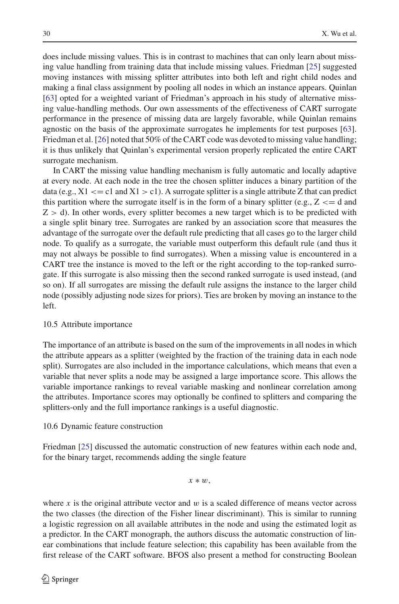does include missing values. This is in contrast to machines that can only learn about missing value handling from training data that include missing values. Friedman [\[25](#page-34-20)] suggested moving instances with missing splitter attributes into both left and right child nodes and making a final class assignment by pooling all nodes in which an instance appears. Quinlan [\[63\]](#page-35-25) opted for a weighted variant of Friedman's approach in his study of alternative missing value-handling methods. Our own assessments of the effectiveness of CART surrogate performance in the presence of missing data are largely favorable, while Quinlan remains agnostic on the basis of the approximate surrogates he implements for test purposes [\[63\]](#page-35-25). Friedman et al. [\[26](#page-34-21)] noted that 50% of the CART code was devoted to missing value handling; it is thus unlikely that Quinlan's experimental version properly replicated the entire CART surrogate mechanism.

In CART the missing value handling mechanism is fully automatic and locally adaptive at every node. At each node in the tree the chosen splitter induces a binary partition of the data (e.g.,  $X1 \leq c1$  and  $X1 > c1$ ). A surrogate splitter is a single attribute Z that can predict this partition where the surrogate itself is in the form of a binary splitter (e.g.,  $Z \leq d$  and  $Z > d$ ). In other words, every splitter becomes a new target which is to be predicted with a single split binary tree. Surrogates are ranked by an association score that measures the advantage of the surrogate over the default rule predicting that all cases go to the larger child node. To qualify as a surrogate, the variable must outperform this default rule (and thus it may not always be possible to find surrogates). When a missing value is encountered in a CART tree the instance is moved to the left or the right according to the top-ranked surrogate. If this surrogate is also missing then the second ranked surrogate is used instead, (and so on). If all surrogates are missing the default rule assigns the instance to the larger child node (possibly adjusting node sizes for priors). Ties are broken by moving an instance to the left.

### 10.5 Attribute importance

The importance of an attribute is based on the sum of the improvements in all nodes in which the attribute appears as a splitter (weighted by the fraction of the training data in each node split). Surrogates are also included in the importance calculations, which means that even a variable that never splits a node may be assigned a large importance score. This allows the variable importance rankings to reveal variable masking and nonlinear correlation among the attributes. Importance scores may optionally be confined to splitters and comparing the splitters-only and the full importance rankings is a useful diagnostic.

### 10.6 Dynamic feature construction

Friedman [\[25\]](#page-34-20) discussed the automatic construction of new features within each node and, for the binary target, recommends adding the single feature

*x* ∗ w,

where  $x$  is the original attribute vector and  $w$  is a scaled difference of means vector across the two classes (the direction of the Fisher linear discriminant). This is similar to running a logistic regression on all available attributes in the node and using the estimated logit as a predictor. In the CART monograph, the authors discuss the automatic construction of linear combinations that include feature selection; this capability has been available from the first release of the CART software. BFOS also present a method for constructing Boolean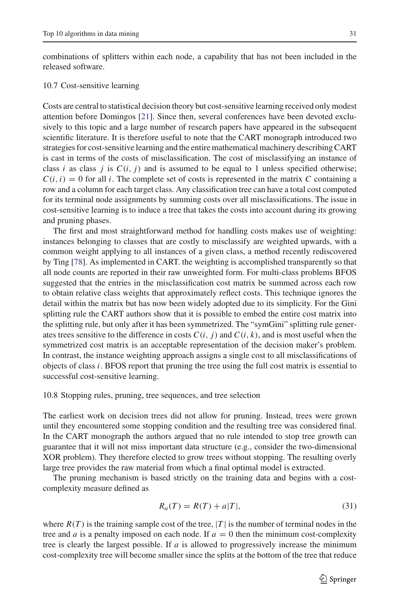combinations of splitters within each node, a capability that has not been included in the released software.

#### 10.7 Cost-sensitive learning

Costs are central to statistical decision theory but cost-sensitive learning received only modest attention before Domingos [\[21](#page-34-22)]. Since then, several conferences have been devoted exclusively to this topic and a large number of research papers have appeared in the subsequent scientific literature. It is therefore useful to note that the CART monograph introduced two strategies for cost-sensitive learning and the entire mathematical machinery describing CART is cast in terms of the costs of misclassification. The cost of misclassifying an instance of class *i* as class *j* is  $C(i, j)$  and is assumed to be equal to 1 unless specified otherwise;  $C(i, i) = 0$  for all *i*. The complete set of costs is represented in the matrix *C* containing a row and a column for each target class. Any classification tree can have a total cost computed for its terminal node assignments by summing costs over all misclassifications. The issue in cost-sensitive learning is to induce a tree that takes the costs into account during its growing and pruning phases.

The first and most straightforward method for handling costs makes use of weighting: instances belonging to classes that are costly to misclassify are weighted upwards, with a common weight applying to all instances of a given class, a method recently rediscovered by Ting [\[78](#page-35-26)]. As implemented in CART. the weighting is accomplished transparently so that all node counts are reported in their raw unweighted form. For multi-class problems BFOS suggested that the entries in the misclassification cost matrix be summed across each row to obtain relative class weights that approximately reflect costs. This technique ignores the detail within the matrix but has now been widely adopted due to its simplicity. For the Gini splitting rule the CART authors show that it is possible to embed the entire cost matrix into the splitting rule, but only after it has been symmetrized. The "symGini" splitting rule generates trees sensitive to the difference in costs  $C(i, j)$  and  $C(i, k)$ , and is most useful when the symmetrized cost matrix is an acceptable representation of the decision maker's problem. In contrast, the instance weighting approach assigns a single cost to all misclassifications of objects of class *i*. BFOS report that pruning the tree using the full cost matrix is essential to successful cost-sensitive learning.

# 10.8 Stopping rules, pruning, tree sequences, and tree selection

The earliest work on decision trees did not allow for pruning. Instead, trees were grown until they encountered some stopping condition and the resulting tree was considered final. In the CART monograph the authors argued that no rule intended to stop tree growth can guarantee that it will not miss important data structure (e.g., consider the two-dimensional XOR problem). They therefore elected to grow trees without stopping. The resulting overly large tree provides the raw material from which a final optimal model is extracted.

The pruning mechanism is based strictly on the training data and begins with a costcomplexity measure defined as

$$
R_a(T) = R(T) + a|T|,
$$
\n(31)

where  $R(T)$  is the training sample cost of the tree,  $|T|$  is the number of terminal nodes in the tree and *a* is a penalty imposed on each node. If  $a = 0$  then the minimum cost-complexity tree is clearly the largest possible. If *a* is allowed to progressively increase the minimum cost-complexity tree will become smaller since the splits at the bottom of the tree that reduce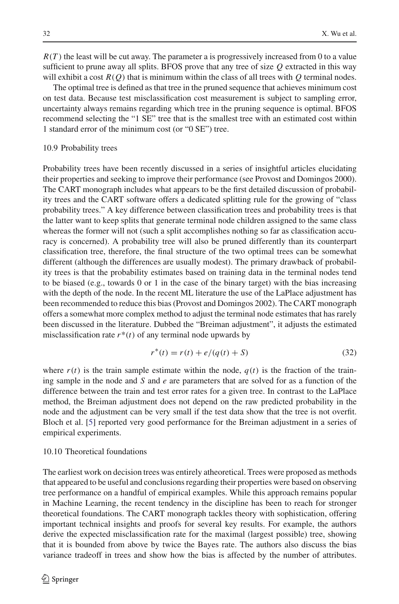$R(T)$  the least will be cut away. The parameter a is progressively increased from 0 to a value sufficient to prune away all splits. BFOS prove that any tree of size *Q* extracted in this way will exhibit a cost  $R(Q)$  that is minimum within the class of all trees with  $Q$  terminal nodes.

The optimal tree is defined as that tree in the pruned sequence that achieves minimum cost on test data. Because test misclassification cost measurement is subject to sampling error, uncertainty always remains regarding which tree in the pruning sequence is optimal. BFOS recommend selecting the "1 SE" tree that is the smallest tree with an estimated cost within 1 standard error of the minimum cost (or "0 SE") tree.

### 10.9 Probability trees

Probability trees have been recently discussed in a series of insightful articles elucidating their properties and seeking to improve their performance (see Provost and Domingos 2000). The CART monograph includes what appears to be the first detailed discussion of probability trees and the CART software offers a dedicated splitting rule for the growing of "class probability trees." A key difference between classification trees and probability trees is that the latter want to keep splits that generate terminal node children assigned to the same class whereas the former will not (such a split accomplishes nothing so far as classification accuracy is concerned). A probability tree will also be pruned differently than its counterpart classification tree, therefore, the final structure of the two optimal trees can be somewhat different (although the differences are usually modest). The primary drawback of probability trees is that the probability estimates based on training data in the terminal nodes tend to be biased (e.g., towards 0 or 1 in the case of the binary target) with the bias increasing with the depth of the node. In the recent ML literature the use of the LaPlace adjustment has been recommended to reduce this bias (Provost and Domingos 2002). The CART monograph offers a somewhat more complex method to adjust the terminal node estimates that has rarely been discussed in the literature. Dubbed the "Breiman adjustment", it adjusts the estimated misclassification rate  $r^*(t)$  of any terminal node upwards by

$$
r^*(t) = r(t) + e/(q(t) + S)
$$
\n(32)

where  $r(t)$  is the train sample estimate within the node,  $q(t)$  is the fraction of the training sample in the node and *S* and *e* are parameters that are solved for as a function of the difference between the train and test error rates for a given tree. In contrast to the LaPlace method, the Breiman adjustment does not depend on the raw predicted probability in the node and the adjustment can be very small if the test data show that the tree is not overfit. Bloch et al. [\[5](#page-33-11)] reported very good performance for the Breiman adjustment in a series of empirical experiments.

# 10.10 Theoretical foundations

The earliest work on decision trees was entirely atheoretical. Trees were proposed as methods that appeared to be useful and conclusions regarding their properties were based on observing tree performance on a handful of empirical examples. While this approach remains popular in Machine Learning, the recent tendency in the discipline has been to reach for stronger theoretical foundations. The CART monograph tackles theory with sophistication, offering important technical insights and proofs for several key results. For example, the authors derive the expected misclassification rate for the maximal (largest possible) tree, showing that it is bounded from above by twice the Bayes rate. The authors also discuss the bias variance tradeoff in trees and show how the bias is affected by the number of attributes.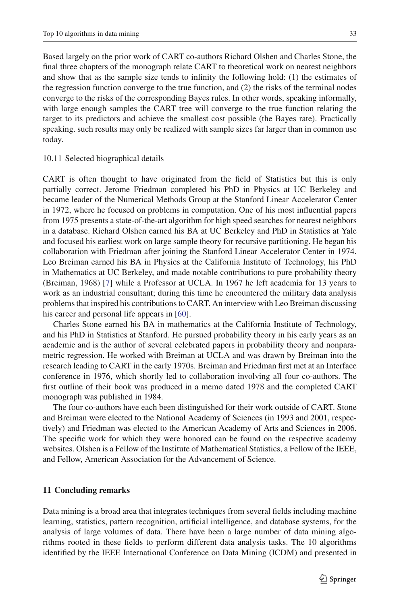Based largely on the prior work of CART co-authors Richard Olshen and Charles Stone, the final three chapters of the monograph relate CART to theoretical work on nearest neighbors and show that as the sample size tends to infinity the following hold: (1) the estimates of the regression function converge to the true function, and (2) the risks of the terminal nodes converge to the risks of the corresponding Bayes rules. In other words, speaking informally, with large enough samples the CART tree will converge to the true function relating the target to its predictors and achieve the smallest cost possible (the Bayes rate). Practically speaking. such results may only be realized with sample sizes far larger than in common use today.

# 10.11 Selected biographical details

CART is often thought to have originated from the field of Statistics but this is only partially correct. Jerome Friedman completed his PhD in Physics at UC Berkeley and became leader of the Numerical Methods Group at the Stanford Linear Accelerator Center in 1972, where he focused on problems in computation. One of his most influential papers from 1975 presents a state-of-the-art algorithm for high speed searches for nearest neighbors in a database. Richard Olshen earned his BA at UC Berkeley and PhD in Statistics at Yale and focused his earliest work on large sample theory for recursive partitioning. He began his collaboration with Friedman after joining the Stanford Linear Accelerator Center in 1974. Leo Breiman earned his BA in Physics at the California Institute of Technology, his PhD in Mathematics at UC Berkeley, and made notable contributions to pure probability theory (Breiman, 1968) [\[7](#page-33-12)] while a Professor at UCLA. In 1967 he left academia for 13 years to work as an industrial consultant; during this time he encountered the military data analysis problems that inspired his contributions to CART. An interview with Leo Breiman discussing his career and personal life appears in [\[60](#page-35-27)].

Charles Stone earned his BA in mathematics at the California Institute of Technology, and his PhD in Statistics at Stanford. He pursued probability theory in his early years as an academic and is the author of several celebrated papers in probability theory and nonparametric regression. He worked with Breiman at UCLA and was drawn by Breiman into the research leading to CART in the early 1970s. Breiman and Friedman first met at an Interface conference in 1976, which shortly led to collaboration involving all four co-authors. The first outline of their book was produced in a memo dated 1978 and the completed CART monograph was published in 1984.

The four co-authors have each been distinguished for their work outside of CART. Stone and Breiman were elected to the National Academy of Sciences (in 1993 and 2001, respectively) and Friedman was elected to the American Academy of Arts and Sciences in 2006. The specific work for which they were honored can be found on the respective academy websites. Olshen is a Fellow of the Institute of Mathematical Statistics, a Fellow of the IEEE, and Fellow, American Association for the Advancement of Science.

# **11 Concluding remarks**

Data mining is a broad area that integrates techniques from several fields including machine learning, statistics, pattern recognition, artificial intelligence, and database systems, for the analysis of large volumes of data. There have been a large number of data mining algorithms rooted in these fields to perform different data analysis tasks. The 10 algorithms identified by the IEEE International Conference on Data Mining (ICDM) and presented in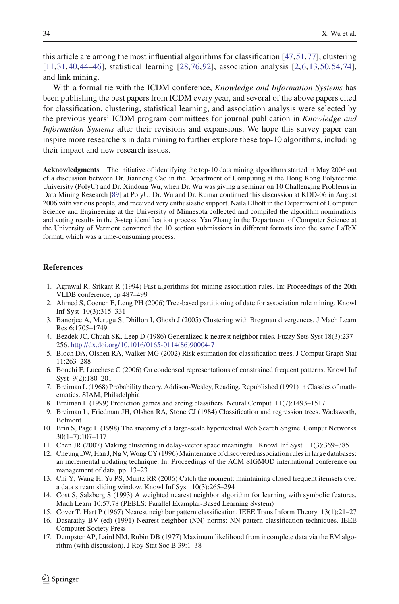this article are among the most influential algorithms for classification [\[47](#page-34-23)[,51,](#page-34-24)[77](#page-35-28)], clustering [\[11,](#page-33-13)[31](#page-34-25)[,40](#page-34-26)[,44](#page-34-27)[–46\]](#page-34-28), statistical learning [\[28](#page-34-29),[76](#page-35-29)[,92\]](#page-36-5), association analysis [\[2](#page-33-14),[6](#page-33-15)[,13,](#page-33-16)[50](#page-34-30)[,54](#page-35-30)[,74\]](#page-35-31), and link mining.

With a formal tie with the ICDM conference, *Knowledge and Information Systems* has been publishing the best papers from ICDM every year, and several of the above papers cited for classification, clustering, statistical learning, and association analysis were selected by the previous years' ICDM program committees for journal publication in *Knowledge and Information Systems* after their revisions and expansions. We hope this survey paper can inspire more researchers in data mining to further explore these top-10 algorithms, including their impact and new research issues.

**Acknowledgments** The initiative of identifying the top-10 data mining algorithms started in May 2006 out of a discussion between Dr. Jiannong Cao in the Department of Computing at the Hong Kong Polytechnic University (PolyU) and Dr. Xindong Wu, when Dr. Wu was giving a seminar on 10 Challenging Problems in Data Mining Research [\[89](#page-36-6)] at PolyU. Dr. Wu and Dr. Kumar continued this discussion at KDD-06 in August 2006 with various people, and received very enthusiastic support. Naila Elliott in the Department of Computer Science and Engineering at the University of Minnesota collected and compiled the algorithm nominations and voting results in the 3-step identification process. Yan Zhang in the Department of Computer Science at the University of Vermont converted the 10 section submissions in different formats into the same LaTeX format, which was a time-consuming process.

# **References**

- <span id="page-33-2"></span>1. Agrawal R, Srikant R (1994) Fast algorithms for mining association rules. In: Proceedings of the 20th VLDB conference, pp 487–499
- <span id="page-33-14"></span>2. Ahmed S, Coenen F, Leng PH (2006) Tree-based partitioning of date for association rule mining. Knowl Inf Syst 10(3):315–331
- <span id="page-33-1"></span>3. Banerjee A, Merugu S, Dhillon I, Ghosh J (2005) Clustering with Bregman divergences. J Mach Learn Res 6:1705–1749
- <span id="page-33-10"></span>4. Bezdek JC, Chuah SK, Leep D (1986) Generalized k-nearest neighbor rules. Fuzzy Sets Syst 18(3):237– 256. [http://dx.doi.org/10.1016/0165-0114\(86\)90004-7](http://dx.doi.org/10.1016/0165-0114(86)90004-7)
- <span id="page-33-11"></span>5. Bloch DA, Olshen RA, Walker MG (2002) Risk estimation for classification trees. J Comput Graph Stat 11:263–288
- <span id="page-33-15"></span>6. Bonchi F, Lucchese C (2006) On condensed representations of constrained frequent patterns. Knowl Inf Syst 9(2):180–201
- <span id="page-33-12"></span>7. Breiman L (1968) Probability theory. Addison-Wesley, Reading. Republished (1991) in Classics of mathematics. SIAM, Philadelphia
- 8. Breiman L (1999) Prediction games and arcing classifiers. Neural Comput 11(7):1493–1517
- <span id="page-33-6"></span>9. Breiman L, Friedman JH, Olshen RA, Stone CJ (1984) Classification and regression trees. Wadsworth, Belmont
- <span id="page-33-5"></span><span id="page-33-0"></span>10. Brin S, Page L (1998) The anatomy of a large-scale hypertextual Web Search Sngine. Comput Networks 30(1–7):107–117
- <span id="page-33-13"></span>11. Chen JR (2007) Making clustering in delay-vector space meaningful. Knowl Inf Syst 11(3):369–385
- <span id="page-33-3"></span>12. Cheung DW, Han J, Ng V, Wong CY (1996) Maintenance of discovered association rules in large databases: an incremental updating technique. In: Proceedings of the ACM SIGMOD international conference on management of data, pp. 13–23
- <span id="page-33-16"></span>13. Chi Y, Wang H, Yu PS, Muntz RR (2006) Catch the moment: maintaining closed frequent itemsets over a data stream sliding window. Knowl Inf Syst 10(3):265–294
- <span id="page-33-7"></span>14. Cost S, Salzberg S (1993) A weighted nearest neighbor algorithm for learning with symbolic features. Mach Learn 10:57.78 (PEBLS: Parallel Examplar-Based Learning System)
- <span id="page-33-8"></span>15. Cover T, Hart P (1967) Nearest neighbor pattern classification. IEEE Trans Inform Theory 13(1):21–27
- <span id="page-33-9"></span>16. Dasarathy BV (ed) (1991) Nearest neighbor (NN) norms: NN pattern classification techniques. IEEE Computer Society Press
- <span id="page-33-4"></span>17. Dempster AP, Laird NM, Rubin DB (1977) Maximum likelihood from incomplete data via the EM algorithm (with discussion). J Roy Stat Soc B 39:1–38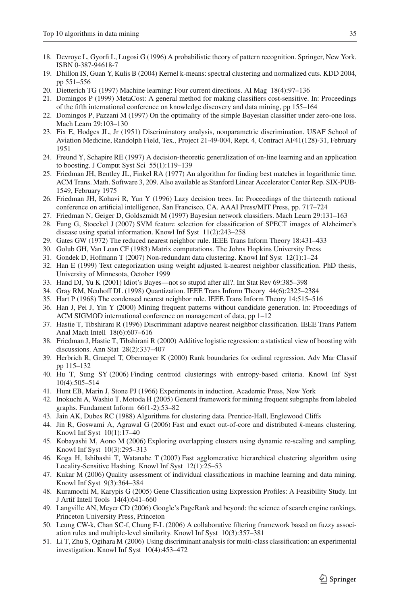- <span id="page-34-16"></span>18. Devroye L, Gyorfi L, Lugosi G (1996) A probabilistic theory of pattern recognition. Springer, New York. ISBN 0-387-94618-7
- <span id="page-34-4"></span>19. Dhillon IS, Guan Y, Kulis B (2004) Kernel k-means: spectral clustering and normalized cuts. KDD 2004, pp 551–556
- <span id="page-34-10"></span>20. Dietterich TG (1997) Machine learning: Four current directions. AI Mag 18(4):97–136
- <span id="page-34-22"></span>21. Domingos P (1999) MetaCost: A general method for making classifiers cost-sensitive. In: Proceedings of the fifth international conference on knowledge discovery and data mining, pp 155–164
- <span id="page-34-17"></span>22. Domingos P, Pazzani M (1997) On the optimality of the simple Bayesian classifier under zero-one loss. Mach Learn 29:103–130
- <span id="page-34-12"></span>23. Fix E, Hodges JL, Jr (1951) Discriminatory analysis, nonparametric discrimination. USAF School of Aviation Medicine, Randolph Field, Tex., Project 21-49-004, Rept. 4, Contract AF41(128)-31, February 1951
- <span id="page-34-1"></span>24. Freund Y, Schapire RE (1997) A decision-theoretic generalization of on-line learning and an application to boosting. J Comput Syst Sci 55(1):119–139
- <span id="page-34-20"></span>25. Friedman JH, Bentley JL, Finkel RA (1977) An algorithm for finding best matches in logarithmic time. ACM Trans. Math. Software 3, 209. Also available as Stanford Linear Accelerator Center Rep. SIX-PUB-1549, February 1975
- <span id="page-34-21"></span>26. Friedman JH, Kohavi R, Yun Y (1996) Lazy decision trees. In: Proceedings of the thirteenth national conference on artificial intelligence, San Francisco, CA. AAAI Press/MIT Press, pp. 717–724
- <span id="page-34-19"></span>27. Friedman N, Geiger D, Goldszmidt M (1997) Bayesian network classifiers. Mach Learn 29:131–163
- <span id="page-34-29"></span>28. Fung G, Stoeckel J (2007) SVM feature selection for classification of SPECT images of Alzheimer's disease using spatial information. Knowl Inf Syst 11(2):243–258
- 29. Gates GW (1972) The reduced nearest neighbor rule. IEEE Trans Inform Theory 18:431–433
- <span id="page-34-8"></span>30. Golub GH, Van Loan CF (1983) Matrix computations. The Johns Hopkins University Press
- <span id="page-34-25"></span>31. Gondek D, Hofmann T (2007) Non-redundant data clustering. Knowl Inf Syst 12(1):1–24
- <span id="page-34-13"></span>32. Han E (1999) Text categorization using weight adjusted k-nearest neighbor classification. PhD thesis, University of Minnesota, October 1999
- <span id="page-34-18"></span>33. Hand DJ, Yu K (2001) Idiot's Bayes—not so stupid after all?. Int Stat Rev 69:385–398
- <span id="page-34-3"></span>34. Gray RM, Neuhoff DL (1998) Quantization. IEEE Trans Inform Theory 44(6):2325–2384
- <span id="page-34-15"></span>35. Hart P (1968) The condensed nearest neighbor rule. IEEE Trans Inform Theory 14:515–516
- <span id="page-34-6"></span>36. Han J, Pei J, Yin Y (2000) Mining frequent patterns without candidate generation. In: Proceedings of ACM SIGMOD international conference on management of data, pp 1–12
- 37. Hastie T, Tibshirani R (1996) Discriminant adaptive nearest neighbor classification. IEEE Trans Pattern Anal Mach Intell 18(6):607–616
- <span id="page-34-11"></span>38. Friedman J, Hastie T, Tibshirani R (2000) Additive logistic regression: a statistical view of boosting with discussions. Ann Stat 28(2):337–407
- <span id="page-34-5"></span>39. Herbrich R, Graepel T, Obermayer K (2000) Rank boundaries for ordinal regression. Adv Mar Classif pp 115–132
- <span id="page-34-26"></span>40. Hu T, Sung SY (2006) Finding centroid clusterings with entropy-based criteria. Knowl Inf Syst 10(4):505–514
- <span id="page-34-0"></span>41. Hunt EB, Marin J, Stone PJ (1966) Experiments in induction. Academic Press, New York
- <span id="page-34-7"></span>42. Inokuchi A, Washio T, Motoda H (2005) General framework for mining frequent subgraphs from labeled graphs. Fundament Inform 66(1-2):53–82
- <span id="page-34-2"></span>43. Jain AK, Dubes RC (1988) Algorithms for clustering data. Prentice-Hall, Englewood Cliffs
- <span id="page-34-27"></span>44. Jin R, Goswami A, Agrawal G (2006) Fast and exact out-of-core and distributed *k*-means clustering. Knowl Inf Syst 10(1):17–40
- 45. Kobayashi M, Aono M (2006) Exploring overlapping clusters using dynamic re-scaling and sampling. Knowl Inf Syst 10(3):295–313
- <span id="page-34-28"></span>46. Koga H, Ishibashi T, Watanabe T (2007) Fast agglomerative hierarchical clustering algorithm using Locality-Sensitive Hashing. Knowl Inf Syst 12(1):25–53
- <span id="page-34-23"></span>47. Kukar M (2006) Quality assessment of individual classifications in machine learning and data mining. Knowl Inf Syst 9(3):364–384
- <span id="page-34-14"></span>48. Kuramochi M, Karypis G (2005) Gene Classification using Expression Profiles: A Feasibility Study. Int J Artif Intell Tools 14(4):641–660
- <span id="page-34-9"></span>49. Langville AN, Meyer CD (2006) Google's PageRank and beyond: the science of search engine rankings. Princeton University Press, Princeton
- <span id="page-34-30"></span>50. Leung CW-k, Chan SC-f, Chung F-L (2006) A collaborative filtering framework based on fuzzy association rules and multiple-level similarity. Knowl Inf Syst 10(3):357–381
- <span id="page-34-24"></span>51. Li T, Zhu S, Ogihara M (2006) Using discriminant analysis for multi-class classification: an experimental investigation. Knowl Inf Syst 10(4):453–472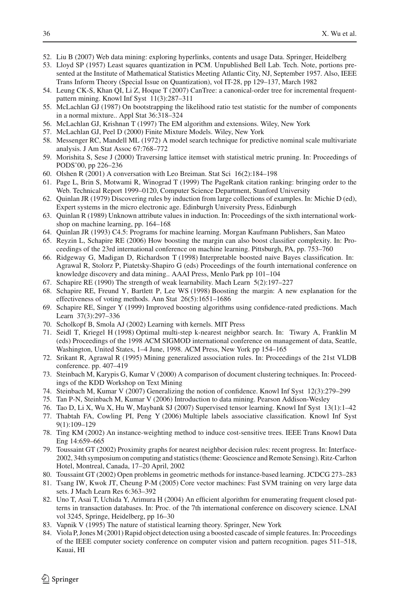- <span id="page-35-14"></span>52. Liu B (2007) Web data mining: exploring hyperlinks, contents and usage Data. Springer, Heidelberg
- <span id="page-35-2"></span>53. Lloyd SP (1957) Least squares quantization in PCM. Unpublished Bell Lab. Tech. Note, portions presented at the Institute of Mathematical Statistics Meeting Atlantic City, NJ, September 1957. Also, IEEE Trans Inform Theory (Special Issue on Quantization), vol IT-28, pp 129–137, March 1982
- <span id="page-35-30"></span>54. Leung CK-S, Khan QI, Li Z, Hoque T (2007) CanTree: a canonical-order tree for incremental frequentpattern mining. Knowl Inf Syst 11(3):287–311
- <span id="page-35-12"></span>55. McLachlan GJ (1987) On bootstrapping the likelihood ratio test statistic for the number of components in a normal mixture.. Appl Stat 36:318–324
- <span id="page-35-11"></span>56. McLachlan GJ, Krishnan T (1997) The EM algorithm and extensions. Wiley, New York
- <span id="page-35-10"></span>57. McLachlan GJ, Peel D (2000) Finite Mixture Models. Wiley, New York
- <span id="page-35-24"></span>58. Messenger RC, Mandell ML (1972) A model search technique for predictive nominal scale multivariate analysis. J Am Stat Assoc 67:768–772
- <span id="page-35-8"></span>59. Morishita S, Sese J (2000) Traversing lattice itemset with statistical metric pruning. In: Proceedings of PODS'00, pp 226–236
- <span id="page-35-27"></span>60. Olshen R (2001) A conversation with Leo Breiman. Stat Sci 16(2):184–198
- <span id="page-35-13"></span>61. Page L, Brin S, Motwami R, Winograd T (1999) The PageRank citation ranking: bringing order to the Web. Technical Report 1999–0120, Computer Science Department, Stanford University
- <span id="page-35-1"></span>62. Quinlan JR (1979) Discovering rules by induction from large collections of examples. In: Michie D (ed), Expert systems in the micro electronic age. Edinburgh University Press, Edinburgh
- <span id="page-35-25"></span>63. Quinlan R (1989) Unknown attribute values in induction. In: Proceedings of the sixth international workshop on machine learning, pp. 164–168
- <span id="page-35-0"></span>64. Quinlan JR (1993) C4.5: Programs for machine learning. Morgan Kaufmann Publishers, San Mateo
- <span id="page-35-19"></span>65. Reyzin L, Schapire RE (2006) How boosting the margin can also boost classifier complexity. In: Proceedings of the 23rd international conference on machine learning. Pittsburgh, PA, pp. 753–760
- <span id="page-35-23"></span>66. Ridgeway G, Madigan D, Richardson T (1998) Interpretable boosted naive Bayes classification. In: Agrawal R, Stolorz P, Piatetsky-Shapiro G (eds) Proceedings of the fourth international conference on knowledge discovery and data mining.. AAAI Press, Menlo Park pp 101–104
- <span id="page-35-16"></span>67. Schapire RE (1990) The strength of weak learnability. Mach Learn 5(2):197–227
- <span id="page-35-18"></span>68. Schapire RE, Freund Y, Bartlett P, Lee WS (1998) Boosting the margin: A new explanation for the effectiveness of voting methods. Ann Stat 26(5):1651–1686
- <span id="page-35-15"></span>69. Schapire RE, Singer Y (1999) Improved boosting algorithms using confidence-rated predictions. Mach Learn 37(3):297–336
- <span id="page-35-5"></span>70. Scholkopf B, Smola AJ (2002) Learning with kernels. MIT Press
- 71. Seidl T, Kriegel H (1998) Optimal multi-step k-nearest neighbor search. In: Tiwary A, Franklin M (eds) Proceedings of the 1998 ACM SIGMOD international conference on management of data, Seattle, Washington, United States, 1–4 June, 1998. ACM Press, New York pp 154–165
- <span id="page-35-7"></span>72. Srikant R, Agrawal R (1995) Mining generalized association rules. In: Proceedings of the 21st VLDB conference. pp. 407–419
- <span id="page-35-3"></span>73. Steinbach M, Karypis G, Kumar V (2000) A comparison of document clustering techniques. In: Proceedings of the KDD Workshop on Text Mining
- <span id="page-35-31"></span>74. Steinbach M, Kumar V (2007) Generalizing the notion of confidence. Knowl Inf Syst 12(3):279–299
- <span id="page-35-20"></span>75. Tan P-N, Steinbach M, Kumar V (2006) Introduction to data mining. Pearson Addison-Wesley
- <span id="page-35-29"></span>76. Tao D, Li X, Wu X, Hu W, Maybank SJ (2007) Supervised tensor learning. Knowl Inf Syst 13(1):1–42
- <span id="page-35-28"></span>77. Thabtah FA, Cowling PI, Peng Y (2006) Multiple labels associative classification. Knowl Inf Syst 9(1):109–129
- <span id="page-35-26"></span>78. Ting KM (2002) An instance-weighting method to induce cost-sensitive trees. IEEE Trans Knowl Data Eng 14:659–665
- <span id="page-35-21"></span>79. Toussaint GT (2002) Proximity graphs for nearest neighbor decision rules: recent progress. In: Interface-2002, 34th symposium on computing and statistics (theme: Geoscience and Remote Sensing). Ritz-Carlton Hotel, Montreal, Canada, 17–20 April, 2002
- <span id="page-35-22"></span>80. Toussaint GT (2002) Open problems in geometric methods for instance-based learning. JCDCG 273–283
- <span id="page-35-6"></span>81. Tsang IW, Kwok JT, Cheung P-M (2005) Core vector machines: Fast SVM training on very large data sets. J Mach Learn Res 6:363–392
- <span id="page-35-9"></span>82. Uno T, Asai T, Uchida Y, Arimura H (2004) An efficient algorithm for enumerating frequent closed patterns in transaction databases. In: Proc. of the 7th international conference on discovery science. LNAI vol 3245, Springe, Heidelberg, pp 16–30
- <span id="page-35-4"></span>83. Vapnik V (1995) The nature of statistical learning theory. Springer, New York
- <span id="page-35-17"></span>84. Viola P, Jones M (2001) Rapid object detection using a boosted cascade of simple features. In: Proceedings of the IEEE computer society conference on computer vision and pattern recognition. pages 511–518, Kauai, HI